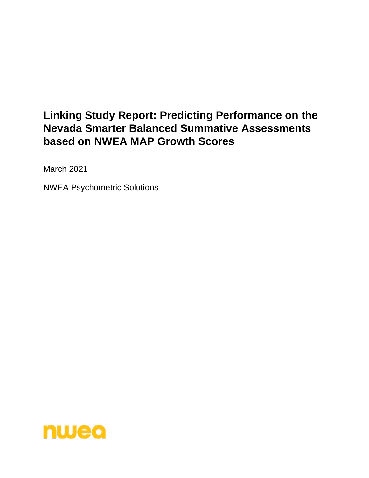# **Linking Study Report: Predicting Performance on the Nevada Smarter Balanced Summative Assessments based on NWEA MAP Growth Scores**

March 2021

NWEA Psychometric Solutions

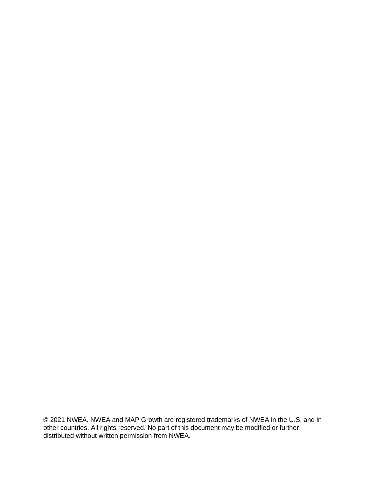© 2021 NWEA. NWEA and MAP Growth are registered trademarks of NWEA in the U.S. and in other countries. All rights reserved. No part of this document may be modified or further distributed without written permission from NWEA.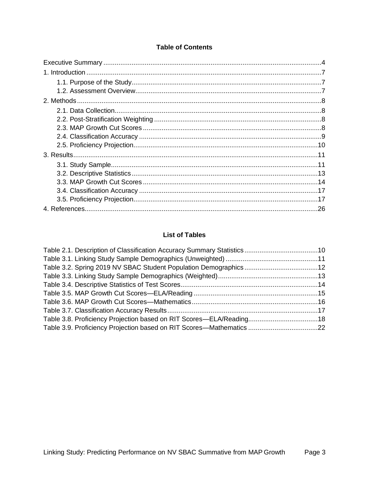### **Table of Contents**

# **List of Tables**

| Table 3.8. Proficiency Projection based on RIT Scores-ELA/Reading 18 |
|----------------------------------------------------------------------|
| Table 3.9. Proficiency Projection based on RIT Scores—Mathematics 22 |
|                                                                      |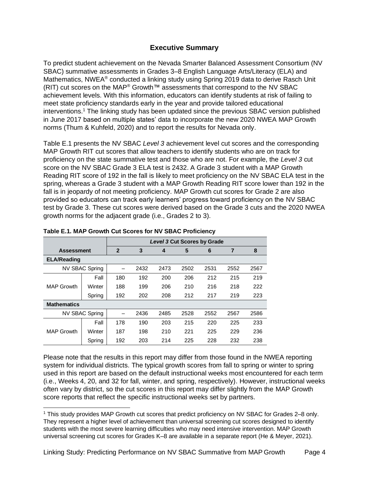### **Executive Summary**

<span id="page-3-0"></span>To predict student achievement on the Nevada Smarter Balanced Assessment Consortium (NV SBAC) summative assessments in Grades 3–8 English Language Arts/Literacy (ELA) and Mathematics, NWEA® conducted a linking study using Spring 2019 data to derive Rasch Unit (RIT) cut scores on the MAP® Growth™ assessments that correspond to the NV SBAC achievement levels. With this information, educators can identify students at risk of failing to meet state proficiency standards early in the year and provide tailored educational interventions.<sup>1</sup> The linking study has been updated since the previous SBAC version published in June 2017 based on multiple states' data to incorporate the new 2020 NWEA MAP Growth norms (Thum & Kuhfeld, 2020) and to report the results for Nevada only.

Table E.1 presents the NV SBAC *Level 3* achievement level cut scores and the corresponding MAP Growth RIT cut scores that allow teachers to identify students who are on track for proficiency on the state summative test and those who are not. For example, the *Level 3* cut score on the NV SBAC Grade 3 ELA test is 2432. A Grade 3 student with a MAP Growth Reading RIT score of 192 in the fall is likely to meet proficiency on the NV SBAC ELA test in the spring, whereas a Grade 3 student with a MAP Growth Reading RIT score lower than 192 in the fall is in jeopardy of not meeting proficiency. MAP Growth cut scores for Grade 2 are also provided so educators can track early learners' progress toward proficiency on the NV SBAC test by Grade 3. These cut scores were derived based on the Grade 3 cuts and the 2020 NWEA growth norms for the adjacent grade (i.e., Grades 2 to 3).

|                    |                | <b>Level 3 Cut Scores by Grade</b> |      |      |      |      |                |      |
|--------------------|----------------|------------------------------------|------|------|------|------|----------------|------|
| <b>Assessment</b>  |                | $\overline{2}$                     | 3    | 4    | 5    | 6    | $\overline{7}$ | 8    |
| <b>ELA/Reading</b> |                |                                    |      |      |      |      |                |      |
|                    | NV SBAC Spring |                                    | 2432 | 2473 | 2502 | 2531 | 2552           | 2567 |
|                    | Fall           | 180                                | 192  | 200  | 206  | 212  | 215            | 219  |
| <b>MAP Growth</b>  | Winter         | 188                                | 199  | 206  | 210  | 216  | 218            | 222  |
|                    | Spring         | 192                                | 202  | 208  | 212  | 217  | 219            | 223  |
| <b>Mathematics</b> |                |                                    |      |      |      |      |                |      |
|                    | NV SBAC Spring |                                    | 2436 | 2485 | 2528 | 2552 | 2567           | 2586 |
|                    | Fall           | 178                                | 190  | 203  | 215  | 220  | 225            | 233  |
| <b>MAP Growth</b>  | Winter         | 187                                | 198  | 210  | 221  | 225  | 229            | 236  |
|                    | Spring         | 192                                | 203  | 214  | 225  | 228  | 232            | 238  |

#### **Table E.1. MAP Growth Cut Scores for NV SBAC Proficiency**

Please note that the results in this report may differ from those found in the NWEA reporting system for individual districts. The typical growth scores from fall to spring or winter to spring used in this report are based on the default instructional weeks most encountered for each term (i.e., Weeks 4, 20, and 32 for fall, winter, and spring, respectively). However, instructional weeks often vary by district, so the cut scores in this report may differ slightly from the MAP Growth score reports that reflect the specific instructional weeks set by partners.

<sup>1</sup> This study provides MAP Growth cut scores that predict proficiency on NV SBAC for Grades 2–8 only. They represent a higher level of achievement than universal screening cut scores designed to identify students with the most severe learning difficulties who may need intensive intervention. MAP Growth universal screening cut scores for Grades K–8 are available in a separate report (He & Meyer, 2021).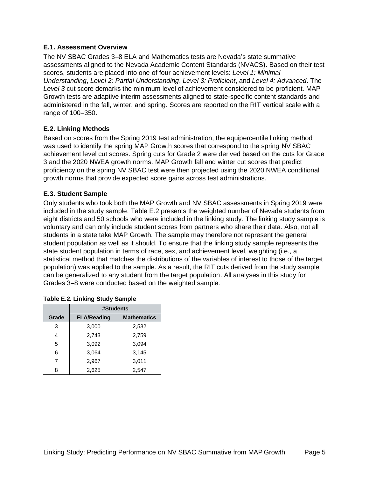### **E.1. Assessment Overview**

The NV SBAC Grades 3–8 ELA and Mathematics tests are Nevada's state summative assessments aligned to the Nevada Academic Content Standards (NVACS). Based on their test scores, students are placed into one of four achievement levels: *Level 1: Minimal Understanding*, *Level 2: Partial Understanding*, *Level 3: Proficient*, and *Level 4: Advanced*. The *Level 3* cut score demarks the minimum level of achievement considered to be proficient. MAP Growth tests are adaptive interim assessments aligned to state-specific content standards and administered in the fall, winter, and spring. Scores are reported on the RIT vertical scale with a range of 100–350.

### **E.2. Linking Methods**

Based on scores from the Spring 2019 test administration, the equipercentile linking method was used to identify the spring MAP Growth scores that correspond to the spring NV SBAC achievement level cut scores. Spring cuts for Grade 2 were derived based on the cuts for Grade 3 and the 2020 NWEA growth norms. MAP Growth fall and winter cut scores that predict proficiency on the spring NV SBAC test were then projected using the 2020 NWEA conditional growth norms that provide expected score gains across test administrations.

### **E.3. Student Sample**

Only students who took both the MAP Growth and NV SBAC assessments in Spring 2019 were included in the study sample. Table E.2 presents the weighted number of Nevada students from eight districts and 50 schools who were included in the linking study. The linking study sample is voluntary and can only include student scores from partners who share their data. Also, not all students in a state take MAP Growth. The sample may therefore not represent the general student population as well as it should. To ensure that the linking study sample represents the state student population in terms of race, sex, and achievement level, weighting (i.e., a statistical method that matches the distributions of the variables of interest to those of the target population) was applied to the sample. As a result, the RIT cuts derived from the study sample can be generalized to any student from the target population. All analyses in this study for Grades 3–8 were conducted based on the weighted sample.

|       | #Students          |                    |  |  |  |  |  |  |
|-------|--------------------|--------------------|--|--|--|--|--|--|
| Grade | <b>ELA/Reading</b> | <b>Mathematics</b> |  |  |  |  |  |  |
| 3     | 3,000              | 2,532              |  |  |  |  |  |  |
| 4     | 2,743              | 2,759              |  |  |  |  |  |  |
| 5     | 3,092              | 3,094              |  |  |  |  |  |  |
| 6     | 3,064              | 3,145              |  |  |  |  |  |  |
| 7     | 2,967              | 3,011              |  |  |  |  |  |  |
| 8     | 2,625              | 2,547              |  |  |  |  |  |  |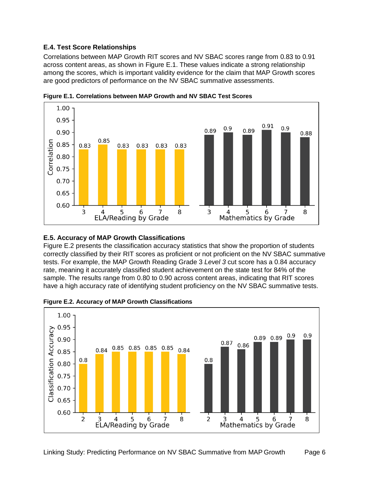### **E.4. Test Score Relationships**

Correlations between MAP Growth RIT scores and NV SBAC scores range from 0.83 to 0.91 across content areas, as shown in Figure E.1. These values indicate a strong relationship among the scores, which is important validity evidence for the claim that MAP Growth scores are good predictors of performance on the NV SBAC summative assessments.



**Figure E.1. Correlations between MAP Growth and NV SBAC Test Scores**

#### **E.5. Accuracy of MAP Growth Classifications**

Figure E.2 presents the classification accuracy statistics that show the proportion of students correctly classified by their RIT scores as proficient or not proficient on the NV SBAC summative tests. For example, the MAP Growth Reading Grade 3 *Level 3* cut score has a 0.84 accuracy rate, meaning it accurately classified student achievement on the state test for 84% of the sample. The results range from 0.80 to 0.90 across content areas, indicating that RIT scores have a high accuracy rate of identifying student proficiency on the NV SBAC summative tests.



**Figure E.2. Accuracy of MAP Growth Classifications**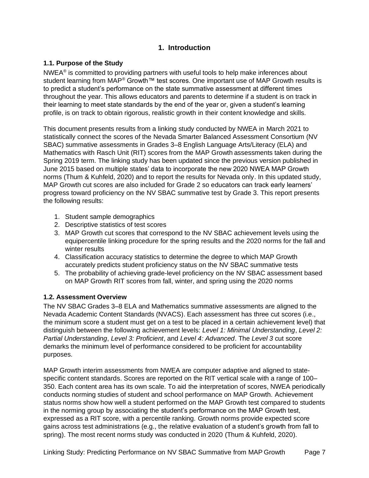## **1. Introduction**

### <span id="page-6-1"></span><span id="page-6-0"></span>**1.1. Purpose of the Study**

 $NWEA<sup>®</sup>$  is committed to providing partners with useful tools to help make inferences about student learning from MAP<sup>®</sup> Growth™ test scores. One important use of MAP Growth results is to predict a student's performance on the state summative assessment at different times throughout the year. This allows educators and parents to determine if a student is on track in their learning to meet state standards by the end of the year or, given a student's learning profile, is on track to obtain rigorous, realistic growth in their content knowledge and skills.

This document presents results from a linking study conducted by NWEA in March 2021 to statistically connect the scores of the Nevada Smarter Balanced Assessment Consortium (NV SBAC) summative assessments in Grades 3–8 English Language Arts/Literacy (ELA) and Mathematics with Rasch Unit (RIT) scores from the MAP Growth assessments taken during the Spring 2019 term. The linking study has been updated since the previous version published in June 2015 based on multiple states' data to incorporate the new 2020 NWEA MAP Growth norms (Thum & Kuhfeld, 2020) and to report the results for Nevada only. In this updated study, MAP Growth cut scores are also included for Grade 2 so educators can track early learners' progress toward proficiency on the NV SBAC summative test by Grade 3. This report presents the following results:

- 1. Student sample demographics
- 2. Descriptive statistics of test scores
- 3. MAP Growth cut scores that correspond to the NV SBAC achievement levels using the equipercentile linking procedure for the spring results and the 2020 norms for the fall and winter results
- 4. Classification accuracy statistics to determine the degree to which MAP Growth accurately predicts student proficiency status on the NV SBAC summative tests
- 5. The probability of achieving grade-level proficiency on the NV SBAC assessment based on MAP Growth RIT scores from fall, winter, and spring using the 2020 norms

### <span id="page-6-2"></span>**1.2. Assessment Overview**

The NV SBAC Grades 3–8 ELA and Mathematics summative assessments are aligned to the Nevada Academic Content Standards (NVACS). Each assessment has three cut scores (i.e., the minimum score a student must get on a test to be placed in a certain achievement level) that distinguish between the following achievement levels: *Level 1: Minimal Understanding*, *Level 2: Partial Understanding*, *Level 3: Proficient*, and *Level 4: Advanced*. The *Level 3* cut score demarks the minimum level of performance considered to be proficient for accountability purposes.

MAP Growth interim assessments from NWEA are computer adaptive and aligned to statespecific content standards. Scores are reported on the RIT vertical scale with a range of 100– 350. Each content area has its own scale. To aid the interpretation of scores, NWEA periodically conducts norming studies of student and school performance on MAP Growth. Achievement status norms show how well a student performed on the MAP Growth test compared to students in the norming group by associating the student's performance on the MAP Growth test, expressed as a RIT score, with a percentile ranking. Growth norms provide expected score gains across test administrations (e.g., the relative evaluation of a student's growth from fall to spring). The most recent norms study was conducted in 2020 (Thum & Kuhfeld, 2020).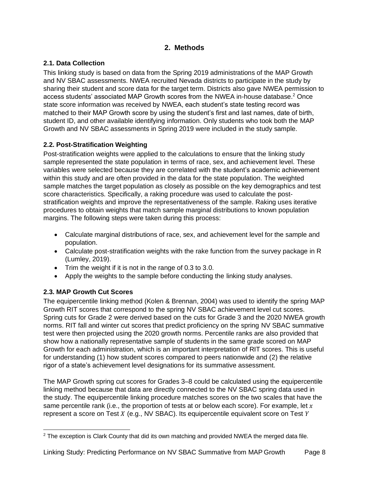# **2. Methods**

# <span id="page-7-1"></span><span id="page-7-0"></span>**2.1. Data Collection**

This linking study is based on data from the Spring 2019 administrations of the MAP Growth and NV SBAC assessments. NWEA recruited Nevada districts to participate in the study by sharing their student and score data for the target term. Districts also gave NWEA permission to access students' associated MAP Growth scores from the NWEA in-house database.<sup>2</sup> Once state score information was received by NWEA, each student's state testing record was matched to their MAP Growth score by using the student's first and last names, date of birth, student ID, and other available identifying information. Only students who took both the MAP Growth and NV SBAC assessments in Spring 2019 were included in the study sample.

# <span id="page-7-2"></span>**2.2. Post-Stratification Weighting**

Post-stratification weights were applied to the calculations to ensure that the linking study sample represented the state population in terms of race, sex, and achievement level. These variables were selected because they are correlated with the student's academic achievement within this study and are often provided in the data for the state population. The weighted sample matches the target population as closely as possible on the key demographics and test score characteristics. Specifically, a raking procedure was used to calculate the poststratification weights and improve the representativeness of the sample. Raking uses iterative procedures to obtain weights that match sample marginal distributions to known population margins. The following steps were taken during this process:

- Calculate marginal distributions of race, sex, and achievement level for the sample and population.
- Calculate post-stratification weights with the rake function from the survey package in R (Lumley, 2019).
- Trim the weight if it is not in the range of 0.3 to 3.0.
- Apply the weights to the sample before conducting the linking study analyses.

# <span id="page-7-3"></span>**2.3. MAP Growth Cut Scores**

The equipercentile linking method (Kolen & Brennan, 2004) was used to identify the spring MAP Growth RIT scores that correspond to the spring NV SBAC achievement level cut scores. Spring cuts for Grade 2 were derived based on the cuts for Grade 3 and the 2020 NWEA growth norms. RIT fall and winter cut scores that predict proficiency on the spring NV SBAC summative test were then projected using the 2020 growth norms. Percentile ranks are also provided that show how a nationally representative sample of students in the same grade scored on MAP Growth for each administration, which is an important interpretation of RIT scores. This is useful for understanding (1) how student scores compared to peers nationwide and (2) the relative rigor of a state's achievement level designations for its summative assessment.

The MAP Growth spring cut scores for Grades 3–8 could be calculated using the equipercentile linking method because that data are directly connected to the NV SBAC spring data used in the study. The equipercentile linking procedure matches scores on the two scales that have the same percentile rank (i.e., the proportion of tests at or below each score). For example, let  $x$ represent a score on Test  $X$  (e.g., NV SBAC). Its equipercentile equivalent score on Test  $Y$ 

 $2$  The exception is Clark County that did its own matching and provided NWEA the merged data file.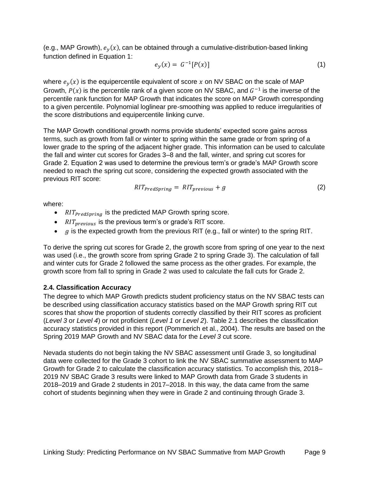(e.g., MAP Growth),  $e_y(x)$ , can be obtained through a cumulative-distribution-based linking function defined in Equation 1:

$$
e_y(x) = G^{-1}[P(x)] \tag{1}
$$

where  $e_y(x)$  is the equipercentile equivalent of score x on NV SBAC on the scale of MAP Growth,  $P(x)$  is the percentile rank of a given score on NV SBAC, and  $G^{-1}$  is the inverse of the percentile rank function for MAP Growth that indicates the score on MAP Growth corresponding to a given percentile. Polynomial loglinear pre-smoothing was applied to reduce irregularities of the score distributions and equipercentile linking curve.

The MAP Growth conditional growth norms provide students' expected score gains across terms, such as growth from fall or winter to spring within the same grade or from spring of a lower grade to the spring of the adjacent higher grade. This information can be used to calculate the fall and winter cut scores for Grades 3–8 and the fall, winter, and spring cut scores for Grade 2. Equation 2 was used to determine the previous term's or grade's MAP Growth score needed to reach the spring cut score, considering the expected growth associated with the previous RIT score:

$$
RIT_{PredSpring} = RIT_{previous} + g \tag{2}
$$

where:

- $\frac{R}{T_{predSpring}}$  is the predicted MAP Growth spring score.
- $RIT_{previous}$  is the previous term's or grade's RIT score.
- $\bullet$   $g$  is the expected growth from the previous RIT (e.g., fall or winter) to the spring RIT.

To derive the spring cut scores for Grade 2, the growth score from spring of one year to the next was used (i.e., the growth score from spring Grade 2 to spring Grade 3). The calculation of fall and winter cuts for Grade 2 followed the same process as the other grades. For example, the growth score from fall to spring in Grade 2 was used to calculate the fall cuts for Grade 2.

### <span id="page-8-0"></span>**2.4. Classification Accuracy**

The degree to which MAP Growth predicts student proficiency status on the NV SBAC tests can be described using classification accuracy statistics based on the MAP Growth spring RIT cut scores that show the proportion of students correctly classified by their RIT scores as proficient (*Level 3* or *Level 4*) or not proficient (*Level 1* or *Level 2*). [Table 2.1](#page-9-1) describes the classification accuracy statistics provided in this report (Pommerich et al., 2004). The results are based on the Spring 2019 MAP Growth and NV SBAC data for the *Level 3* cut score.

Nevada students do not begin taking the NV SBAC assessment until Grade 3, so longitudinal data were collected for the Grade 3 cohort to link the NV SBAC summative assessment to MAP Growth for Grade 2 to calculate the classification accuracy statistics. To accomplish this, 2018– 2019 NV SBAC Grade 3 results were linked to MAP Growth data from Grade 3 students in 2018–2019 and Grade 2 students in 2017–2018. In this way, the data came from the same cohort of students beginning when they were in Grade 2 and continuing through Grade 3.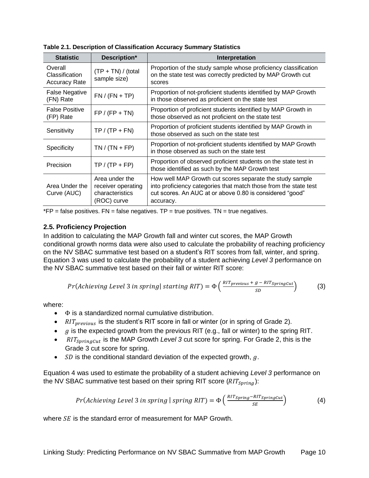| <b>Statistic</b>                                  | Description*                                                           | Interpretation                                                                                                                                                                                        |
|---------------------------------------------------|------------------------------------------------------------------------|-------------------------------------------------------------------------------------------------------------------------------------------------------------------------------------------------------|
| Overall<br>Classification<br><b>Accuracy Rate</b> | $(TP + TN) / (total)$<br>sample size)                                  | Proportion of the study sample whose proficiency classification<br>on the state test was correctly predicted by MAP Growth cut<br>scores                                                              |
| <b>False Negative</b><br>(FN) Rate                | $FN / (FN + TP)$                                                       | Proportion of not-proficient students identified by MAP Growth<br>in those observed as proficient on the state test                                                                                   |
| <b>False Positive</b><br>(FP) Rate                | $FP / (FP + TN)$                                                       | Proportion of proficient students identified by MAP Growth in<br>those observed as not proficient on the state test                                                                                   |
| Sensitivity                                       | $TP / (TP + FN)$                                                       | Proportion of proficient students identified by MAP Growth in<br>those observed as such on the state test                                                                                             |
| Specificity                                       | $TN / (TN + FP)$                                                       | Proportion of not-proficient students identified by MAP Growth<br>in those observed as such on the state test                                                                                         |
| Precision                                         | $TP / (TP + FP)$                                                       | Proportion of observed proficient students on the state test in<br>those identified as such by the MAP Growth test                                                                                    |
| Area Under the<br>Curve (AUC)                     | Area under the<br>receiver operating<br>characteristics<br>(ROC) curve | How well MAP Growth cut scores separate the study sample<br>into proficiency categories that match those from the state test<br>cut scores. An AUC at or above 0.80 is considered "good"<br>accuracy. |

<span id="page-9-1"></span>**Table 2.1. Description of Classification Accuracy Summary Statistics**

 $*FP = false$  positives.  $FN = false$  negatives.  $TP = true$  positives.  $TN = true$  negatives.

#### <span id="page-9-0"></span>**2.5. Proficiency Projection**

In addition to calculating the MAP Growth fall and winter cut scores, the MAP Growth conditional growth norms data were also used to calculate the probability of reaching proficiency on the NV SBAC summative test based on a student's RIT scores from fall, winter, and spring. Equation 3 was used to calculate the probability of a student achieving *Level 3* performance on the NV SBAC summative test based on their fall or winter RIT score:

$$
Pr(Achieving Level 3 in spring | starting RIT) = \Phi\left(\frac{RIT_{previous} + g - RIT_{SpringCut}}{SD}\right) \tag{3}
$$

where:

- $\bullet$   $\Phi$  is a standardized normal cumulative distribution.
- $RIT_{previous}$  is the student's RIT score in fall or winter (or in spring of Grade 2).
- $\bullet$   $g$  is the expected growth from the previous RIT (e.g., fall or winter) to the spring RIT.
- RIT<sub>SprinaCut</sub> is the MAP Growth *Level 3* cut score for spring. For Grade 2, this is the Grade 3 cut score for spring.
- SD is the conditional standard deviation of the expected growth,  $g$ .

Equation 4 was used to estimate the probability of a student achieving *Level 3* performance on the NV SBAC summative test based on their spring RIT score  $(RIT_{\text{spring}}):$ 

$$
Pr(Achieving Level 3 in spring | spring RIT) = \Phi\left(\frac{RIT_{Spring} - RIT_{SpringCut}}{SE}\right)
$$
 (4)

where  $SE$  is the standard error of measurement for MAP Growth.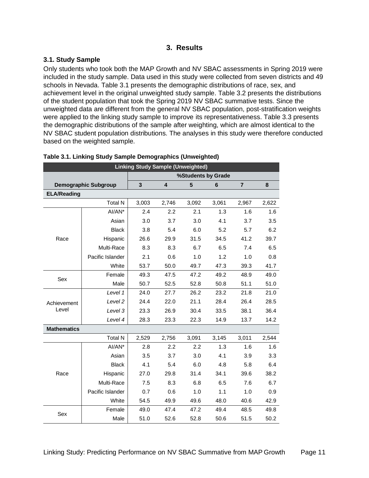### **3. Results**

### <span id="page-10-1"></span><span id="page-10-0"></span>**3.1. Study Sample**

Only students who took both the MAP Growth and NV SBAC assessments in Spring 2019 were included in the study sample. Data used in this study were collected from seven districts and 49 schools in Nevada. [Table 3.1](#page-10-2) presents the demographic distributions of race, sex, and achievement level in the original unweighted study sample. [Table 3.2](#page-11-0) presents the distributions of the student population that took the Spring 2019 NV SBAC summative tests. Since the unweighted data are different from the general NV SBAC population, post-stratification weights were applied to the linking study sample to improve its representativeness. [Table 3.3](#page-12-1) presents the demographic distributions of the sample after weighting, which are almost identical to the NV SBAC student population distributions. The analyses in this study were therefore conducted based on the weighted sample.

| <b>Linking Study Sample (Unweighted)</b> |                             |              |       |       |                    |                |       |  |
|------------------------------------------|-----------------------------|--------------|-------|-------|--------------------|----------------|-------|--|
|                                          |                             |              |       |       | %Students by Grade |                |       |  |
|                                          | <b>Demographic Subgroup</b> | $\mathbf{3}$ | 4     | 5     | 6                  | $\overline{7}$ | 8     |  |
| <b>ELA/Reading</b>                       |                             |              |       |       |                    |                |       |  |
|                                          | <b>Total N</b>              | 3,003        | 2,746 | 3,092 | 3,061              | 2,967          | 2,622 |  |
|                                          | $AI/AN^*$                   | 2.4          | 2.2   | 2.1   | 1.3                | 1.6            | 1.6   |  |
|                                          | Asian                       | 3.0          | 3.7   | 3.0   | 4.1                | 3.7            | 3.5   |  |
|                                          | <b>Black</b>                | 3.8          | 5.4   | 6.0   | 5.2                | 5.7            | 6.2   |  |
| Race                                     | Hispanic                    | 26.6         | 29.9  | 31.5  | 34.5               | 41.2           | 39.7  |  |
|                                          | Multi-Race                  | 8.3          | 8.3   | 6.7   | 6.5                | 7.4            | 6.5   |  |
|                                          | Pacific Islander            | 2.1          | 0.6   | 1.0   | 1.2                | 1.0            | 0.8   |  |
|                                          | White                       | 53.7         | 50.0  | 49.7  | 47.3               | 39.3           | 41.7  |  |
| Sex                                      | Female                      | 49.3         | 47.5  | 47.2  | 49.2               | 48.9           | 49.0  |  |
|                                          | Male                        | 50.7         | 52.5  | 52.8  | 50.8               | 51.1           | 51.0  |  |
|                                          | Level 1                     | 24.0         | 27.7  | 26.2  | 23.2               | 21.8           | 21.0  |  |
| Achievement                              | Level 2                     | 24.4         | 22.0  | 21.1  | 28.4               | 26.4           | 28.5  |  |
| Level                                    | Level 3                     | 23.3         | 26.9  | 30.4  | 33.5               | 38.1           | 36.4  |  |
|                                          | Level 4                     | 28.3         | 23.3  | 22.3  | 14.9               | 13.7           | 14.2  |  |
| <b>Mathematics</b>                       |                             |              |       |       |                    |                |       |  |
|                                          | <b>Total N</b>              | 2,529        | 2,756 | 3,091 | 3,145              | 3,011          | 2,544 |  |
|                                          | AI/AN*                      | 2.8          | 2.2   | 2.2   | 1.3                | 1.6            | 1.6   |  |
|                                          | Asian                       | 3.5          | 3.7   | 3.0   | 4.1                | 3.9            | 3.3   |  |
|                                          | <b>Black</b>                | 4.1          | 5.4   | 6.0   | 4.8                | 5.8            | 6.4   |  |
| Race                                     | Hispanic                    | 27.0         | 29.8  | 31.4  | 34.1               | 39.6           | 38.2  |  |
|                                          | Multi-Race                  | 7.5          | 8.3   | 6.8   | 6.5                | 7.6            | 6.7   |  |
|                                          | Pacific Islander            | 0.7          | 0.6   | 1.0   | 1.1                | 1.0            | 0.9   |  |
|                                          | White                       | 54.5         | 49.9  | 49.6  | 48.0               | 40.6           | 42.9  |  |
| Sex                                      | Female                      | 49.0         | 47.4  | 47.2  | 49.4               | 48.5           | 49.8  |  |
|                                          | Male                        | 51.0         | 52.6  | 52.8  | 50.6               | 51.5           | 50.2  |  |

#### <span id="page-10-2"></span>**Table 3.1. Linking Study Sample Demographics (Unweighted)**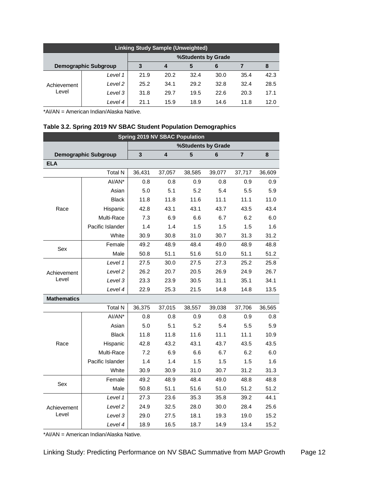| <b>Linking Study Sample (Unweighted)</b> |                             |      |      |      |      |      |      |  |  |  |
|------------------------------------------|-----------------------------|------|------|------|------|------|------|--|--|--|
|                                          | %Students by Grade          |      |      |      |      |      |      |  |  |  |
|                                          | <b>Demographic Subgroup</b> | 3    | 4    | 5    | 6    |      | 8    |  |  |  |
| Achievement<br>Level                     | Level 1                     | 21.9 | 20.2 | 32.4 | 30.0 | 35.4 | 42.3 |  |  |  |
|                                          | Level 2                     | 25.2 | 34.1 | 29.2 | 32.8 | 32.4 | 28.5 |  |  |  |
|                                          | Level 3                     | 31.8 | 29.7 | 19.5 | 22.6 | 20.3 | 17.1 |  |  |  |
|                                          | Level 4                     | 21.1 | 15.9 | 18.9 | 14.6 | 11.8 | 12.0 |  |  |  |

\*AI/AN = American Indian/Alaska Native.

### <span id="page-11-0"></span>**Table 3.2. Spring 2019 NV SBAC Student Population Demographics**

| <b>Spring 2019 NV SBAC Population</b> |                             |                         |        |                    |        |                |        |  |
|---------------------------------------|-----------------------------|-------------------------|--------|--------------------|--------|----------------|--------|--|
|                                       |                             |                         |        | %Students by Grade |        |                |        |  |
|                                       | <b>Demographic Subgroup</b> | $\overline{\mathbf{3}}$ | 4      | 5                  | 6      | $\overline{7}$ | 8      |  |
| <b>ELA</b>                            |                             |                         |        |                    |        |                |        |  |
|                                       | <b>Total N</b>              | 36,431                  | 37,057 | 38,585             | 39,077 | 37,717         | 36,609 |  |
|                                       | AI/AN*                      | 0.8                     | 0.8    | 0.9                | 0.8    | 0.9            | 0.9    |  |
|                                       | Asian                       | 5.0                     | 5.1    | 5.2                | 5.4    | 5.5            | 5.9    |  |
|                                       | <b>Black</b>                | 11.8                    | 11.8   | 11.6               | 11.1   | 11.1           | 11.0   |  |
| Race                                  | Hispanic                    | 42.8                    | 43.1   | 43.1               | 43.7   | 43.5           | 43.4   |  |
|                                       | Multi-Race                  | 7.3                     | 6.9    | 6.6                | 6.7    | 6.2            | 6.0    |  |
|                                       | Pacific Islander            | 1.4                     | 1.4    | 1.5                | 1.5    | 1.5            | 1.6    |  |
|                                       | White                       | 30.9                    | 30.8   | 31.0               | 30.7   | 31.3           | 31.2   |  |
| Sex                                   | Female                      | 49.2                    | 48.9   | 48.4               | 49.0   | 48.9           | 48.8   |  |
|                                       | Male                        | 50.8                    | 51.1   | 51.6               | 51.0   | 51.1           | 51.2   |  |
|                                       | Level 1                     | 27.5                    | 30.0   | 27.5               | 27.3   | 25.2           | 25.8   |  |
| Achievement                           | Level <sub>2</sub>          | 26.2                    | 20.7   | 20.5               | 26.9   | 24.9           | 26.7   |  |
| Level                                 | Level 3                     | 23.3                    | 23.9   | 30.5               | 31.1   | 35.1           | 34.1   |  |
|                                       | Level 4                     | 22.9                    | 25.3   | 21.5               | 14.8   | 14.8           | 13.5   |  |
| <b>Mathematics</b>                    |                             |                         |        |                    |        |                |        |  |
|                                       | <b>Total N</b>              | 36,375                  | 37,015 | 38,557             | 39,038 | 37,706         | 36,565 |  |
|                                       | AI/AN*                      | 0.8                     | 0.8    | 0.9                | 0.8    | 0.9            | 0.8    |  |
|                                       | Asian                       | 5.0                     | 5.1    | 5.2                | 5.4    | 5.5            | 5.9    |  |
|                                       | <b>Black</b>                | 11.8                    | 11.8   | 11.6               | 11.1   | 11.1           | 10.9   |  |
| Race                                  | Hispanic                    | 42.8                    | 43.2   | 43.1               | 43.7   | 43.5           | 43.5   |  |
|                                       | Multi-Race                  | 7.2                     | 6.9    | 6.6                | 6.7    | 6.2            | 6.0    |  |
|                                       | Pacific Islander            | 1.4                     | 1.4    | 1.5                | 1.5    | 1.5            | 1.6    |  |
|                                       | White                       | 30.9                    | 30.9   | 31.0               | 30.7   | 31.2           | 31.3   |  |
| Sex                                   | Female                      | 49.2                    | 48.9   | 48.4               | 49.0   | 48.8           | 48.8   |  |
|                                       | Male                        | 50.8                    | 51.1   | 51.6               | 51.0   | 51.2           | 51.2   |  |
|                                       | Level 1                     | 27.3                    | 23.6   | 35.3               | 35.8   | 39.2           | 44.1   |  |
| Achievement                           | Level 2                     | 24.9                    | 32.5   | 28.0               | 30.0   | 28.4           | 25.6   |  |
| Level                                 | Level 3                     | 29.0                    | 27.5   | 18.1               | 19.3   | 19.0           | 15.2   |  |
|                                       | Level 4                     | 18.9                    | 16.5   | 18.7               | 14.9   | 13.4           | 15.2   |  |

\*AI/AN = American Indian/Alaska Native.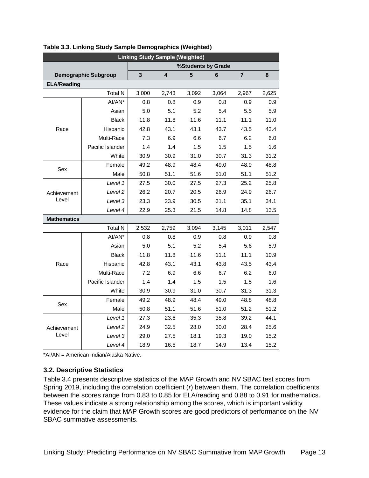| <b>Linking Study Sample (Weighted)</b> |                             |       |       |                    |         |       |       |  |  |
|----------------------------------------|-----------------------------|-------|-------|--------------------|---------|-------|-------|--|--|
|                                        |                             |       |       | %Students by Grade |         |       |       |  |  |
|                                        | <b>Demographic Subgroup</b> | 3     | 4     | 5                  | $\bf 6$ | 7     | 8     |  |  |
| <b>ELA/Reading</b>                     |                             |       |       |                    |         |       |       |  |  |
|                                        | <b>Total N</b>              | 3,000 | 2,743 | 3,092              | 3,064   | 2,967 | 2,625 |  |  |
|                                        | AI/AN*                      | 0.8   | 0.8   | 0.9                | 0.8     | 0.9   | 0.9   |  |  |
|                                        | Asian                       | 5.0   | 5.1   | 5.2                | 5.4     | 5.5   | 5.9   |  |  |
|                                        | <b>Black</b>                | 11.8  | 11.8  | 11.6               | 11.1    | 11.1  | 11.0  |  |  |
| Race                                   | Hispanic                    | 42.8  | 43.1  | 43.1               | 43.7    | 43.5  | 43.4  |  |  |
|                                        | Multi-Race                  | 7.3   | 6.9   | 6.6                | 6.7     | 6.2   | 6.0   |  |  |
|                                        | Pacific Islander            | 1.4   | 1.4   | 1.5                | 1.5     | 1.5   | 1.6   |  |  |
|                                        | White                       | 30.9  | 30.9  | 31.0               | 30.7    | 31.3  | 31.2  |  |  |
| Sex                                    | Female                      | 49.2  | 48.9  | 48.4               | 49.0    | 48.9  | 48.8  |  |  |
|                                        | Male                        | 50.8  | 51.1  | 51.6               | 51.0    | 51.1  | 51.2  |  |  |
|                                        | Level 1                     | 27.5  | 30.0  | 27.5               | 27.3    | 25.2  | 25.8  |  |  |
| Achievement                            | Level 2                     | 26.2  | 20.7  | 20.5               | 26.9    | 24.9  | 26.7  |  |  |
| Level                                  | Level 3                     | 23.3  | 23.9  | 30.5               | 31.1    | 35.1  | 34.1  |  |  |
|                                        | Level 4                     | 22.9  | 25.3  | 21.5               | 14.8    | 14.8  | 13.5  |  |  |
| <b>Mathematics</b>                     |                             |       |       |                    |         |       |       |  |  |
|                                        | <b>Total N</b>              | 2,532 | 2,759 | 3,094              | 3.145   | 3,011 | 2,547 |  |  |
|                                        | AI/AN*                      | 0.8   | 0.8   | 0.9                | 0.8     | 0.9   | 0.8   |  |  |
|                                        | Asian                       | 5.0   | 5.1   | 5.2                | 5.4     | 5.6   | 5.9   |  |  |
|                                        | <b>Black</b>                | 11.8  | 11.8  | 11.6               | 11.1    | 11.1  | 10.9  |  |  |
| Race                                   | Hispanic                    | 42.8  | 43.1  | 43.1               | 43.8    | 43.5  | 43.4  |  |  |
|                                        | Multi-Race                  | 7.2   | 6.9   | 6.6                | 6.7     | 6.2   | 6.0   |  |  |
|                                        | Pacific Islander            | 1.4   | 1.4   | 1.5                | 1.5     | 1.5   | 1.6   |  |  |
|                                        | White                       | 30.9  | 30.9  | 31.0               | 30.7    | 31.3  | 31.3  |  |  |
| Sex                                    | Female                      | 49.2  | 48.9  | 48.4               | 49.0    | 48.8  | 48.8  |  |  |
|                                        | Male                        | 50.8  | 51.1  | 51.6               | 51.0    | 51.2  | 51.2  |  |  |
|                                        | Level 1                     | 27.3  | 23.6  | 35.3               | 35.8    | 39.2  | 44.1  |  |  |
| Achievement                            | Level 2                     | 24.9  | 32.5  | 28.0               | 30.0    | 28.4  | 25.6  |  |  |
| Level                                  | Level 3                     | 29.0  | 27.5  | 18.1               | 19.3    | 19.0  | 15.2  |  |  |
|                                        | Level 4                     | 18.9  | 16.5  | 18.7               | 14.9    | 13.4  | 15.2  |  |  |

### <span id="page-12-1"></span>**Table 3.3. Linking Study Sample Demographics (Weighted)**

\*AI/AN = American Indian/Alaska Native.

#### <span id="page-12-0"></span>**3.2. Descriptive Statistics**

[Table 3.4](#page-13-1) presents descriptive statistics of the MAP Growth and NV SBAC test scores from Spring 2019, including the correlation coefficient (*r*) between them. The correlation coefficients between the scores range from 0.83 to 0.85 for ELA/reading and 0.88 to 0.91 for mathematics. These values indicate a strong relationship among the scores, which is important validity evidence for the claim that MAP Growth scores are good predictors of performance on the NV SBAC summative assessments.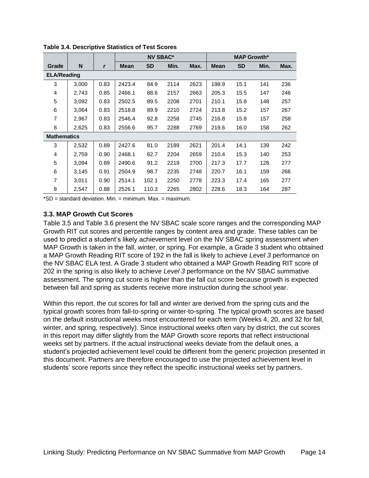|                    |       |      | <b>NV SBAC*</b> |           |      |      | <b>MAP Growth*</b> |           |      |      |
|--------------------|-------|------|-----------------|-----------|------|------|--------------------|-----------|------|------|
| Grade              | N     | r    | <b>Mean</b>     | <b>SD</b> | Min. | Max. | <b>Mean</b>        | <b>SD</b> | Min. | Max. |
| <b>ELA/Reading</b> |       |      |                 |           |      |      |                    |           |      |      |
| 3                  | 3,000 | 0.83 | 2423.4          | 84.9      | 2114 | 2623 | 198.9              | 15.1      | 141  | 236  |
| 4                  | 2,743 | 0.85 | 2466.1          | 88.6      | 2157 | 2663 | 205.3              | 15.5      | 147  | 246  |
| 5                  | 3,092 | 0.83 | 2502.5          | 89.5      | 2208 | 2701 | 210.1              | 15.8      | 148  | 257  |
| 6                  | 3,064 | 0.83 | 2518.8          | 89.9      | 2210 | 2724 | 213.8              | 15.2      | 157  | 267  |
| $\overline{7}$     | 2,967 | 0.83 | 2546.4          | 92.8      | 2258 | 2745 | 216.8              | 15.8      | 157  | 258  |
| 8                  | 2,625 | 0.83 | 2556.6          | 95.7      | 2288 | 2769 | 219.6              | 16.0      | 158  | 262  |
| <b>Mathematics</b> |       |      |                 |           |      |      |                    |           |      |      |
| 3                  | 2,532 | 0.89 | 2427.6          | 81.0      | 2189 | 2621 | 201.4              | 14.1      | 139  | 242  |
| 4                  | 2,759 | 0.90 | 2468.1          | 82.7      | 2204 | 2659 | 210.4              | 15.3      | 140  | 253  |
| 5                  | 3,094 | 0.89 | 2490.6          | 91.2      | 2219 | 2700 | 217.3              | 17.7      | 128  | 277  |
| 6                  | 3,145 | 0.91 | 2504.9          | 98.7      | 2235 | 2748 | 220.7              | 16.1      | 159  | 266  |
| 7                  | 3,011 | 0.90 | 2514.1          | 102.1     | 2250 | 2778 | 223.3              | 17.4      | 165  | 277  |
| 8                  | 2,547 | 0.88 | 2526.1          | 110.3     | 2265 | 2802 | 228.6              | 18.3      | 164  | 287  |

<span id="page-13-1"></span>**Table 3.4. Descriptive Statistics of Test Scores**

 $*SD = standard deviation$ . Min. = minimum. Max. = maximum.

#### <span id="page-13-0"></span>**3.3. MAP Growth Cut Scores**

[Table 3.5](#page-14-0) and [Table 3.6](#page-15-0) present the NV SBAC scale score ranges and the corresponding MAP Growth RIT cut scores and percentile ranges by content area and grade. These tables can be used to predict a student's likely achievement level on the NV SBAC spring assessment when MAP Growth is taken in the fall, winter, or spring. For example, a Grade 3 student who obtained a MAP Growth Reading RIT score of 192 in the fall is likely to achieve *Level 3* performance on the NV SBAC ELA test. A Grade 3 student who obtained a MAP Growth Reading RIT score of 202 in the spring is also likely to achieve *Level 3* performance on the NV SBAC summative assessment. The spring cut score is higher than the fall cut score because growth is expected between fall and spring as students receive more instruction during the school year.

Within this report, the cut scores for fall and winter are derived from the spring cuts and the typical growth scores from fall-to-spring or winter-to-spring. The typical growth scores are based on the default instructional weeks most encountered for each term (Weeks 4, 20, and 32 for fall, winter, and spring, respectively). Since instructional weeks often vary by district, the cut scores in this report may differ slightly from the MAP Growth score reports that reflect instructional weeks set by partners. If the actual instructional weeks deviate from the default ones, a student's projected achievement level could be different from the generic projection presented in this document. Partners are therefore encouraged to use the projected achievement level in students' score reports since they reflect the specific instructional weeks set by partners.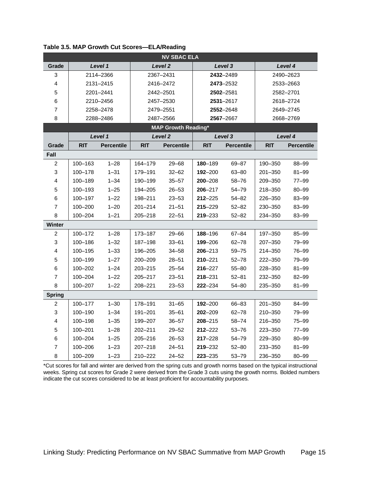| <b>NV SBAC ELA</b> |             |                   |             |                            |             |                   |             |                   |  |  |
|--------------------|-------------|-------------------|-------------|----------------------------|-------------|-------------------|-------------|-------------------|--|--|
| Grade              |             | Level 1           |             | Level <sub>2</sub>         | Level 3     |                   |             | Level 4           |  |  |
| 3                  |             | 2114-2366         |             | 2367-2431                  | 2432-2489   |                   | 2490-2623   |                   |  |  |
| 4                  |             | 2131-2415         |             | 2416-2472                  |             | 2473-2532         | 2533-2663   |                   |  |  |
| 5                  |             | 2201-2441         |             | 2442-2501                  |             | 2502-2581         |             | 2582-2701         |  |  |
| 6                  |             | 2210-2456         |             | 2457-2530                  |             | 2531-2617         |             | 2618-2724         |  |  |
| 7                  |             | 2258-2478         |             | 2479-2551                  |             | 2552-2648         |             | 2649-2745         |  |  |
| 8                  |             | 2288-2486         |             | 2487-2566                  |             | 2567-2667         |             | 2668-2769         |  |  |
|                    |             |                   |             | <b>MAP Growth Reading*</b> |             |                   |             |                   |  |  |
|                    |             | Level 1           |             | Level <sub>2</sub>         |             | Level 3           |             | Level 4           |  |  |
| Grade              | <b>RIT</b>  | <b>Percentile</b> | <b>RIT</b>  | <b>Percentile</b>          | <b>RIT</b>  | <b>Percentile</b> | <b>RIT</b>  | <b>Percentile</b> |  |  |
| Fall               |             |                   |             |                            |             |                   |             |                   |  |  |
| $\boldsymbol{2}$   | 100-163     | $1 - 28$          | 164-179     | $29 - 68$                  | 180-189     | 69-87             | 190-350     | 88-99             |  |  |
| 3                  | 100-178     | $1 - 31$          | 179-191     | $32 - 62$                  | 192-200     | $63 - 80$         | $201 - 350$ | $81 - 99$         |  |  |
| 4                  | 100-189     | $1 - 34$          | 190-199     | $35 - 57$                  | $200 - 208$ | $58 - 76$         | 209-350     | 77-99             |  |  |
| 5                  | 100-193     | $1 - 25$          | 194-205     | $26 - 53$                  | $206 - 217$ | $54 - 79$         | 218-350     | 80-99             |  |  |
| 6                  | 100-197     | $1 - 22$          | 198-211     | $23 - 53$                  | $212 - 225$ | $54 - 82$         | 226-350     | 83-99             |  |  |
| $\overline{7}$     | 100-200     | $1 - 20$          | $201 - 214$ | $21 - 51$                  | $215 - 229$ | $52 - 82$         | 230-350     | 83-99             |  |  |
| 8                  | 100-204     | $1 - 21$          | 205-218     | $22 - 51$                  | 219-233     | $52 - 82$         | 234-350     | 83-99             |  |  |
| Winter             |             |                   |             |                            |             |                   |             |                   |  |  |
| $\overline{c}$     | 100-172     | $1 - 28$          | 173-187     | $29 - 66$                  | 188-196     | $67 - 84$         | 197-350     | 85-99             |  |  |
| 3                  | 100-186     | $1 - 32$          | 187-198     | $33 - 61$                  | 199-206     | $62 - 78$         | 207-350     | 79-99             |  |  |
| 4                  | 100-195     | $1 - 33$          | 196-205     | $34 - 58$                  | $206 - 213$ | $59 - 75$         | 214-350     | 76-99             |  |  |
| 5                  | 100-199     | $1 - 27$          | 200-209     | $28 - 51$                  | $210 - 221$ | $52 - 78$         | 222-350     | 79-99             |  |  |
| 6                  | 100-202     | $1 - 24$          | 203-215     | $25 - 54$                  | $216 - 227$ | $55 - 80$         | 228-350     | $81 - 99$         |  |  |
| $\overline{7}$     | $100 - 204$ | $1 - 22$          | 205-217     | $23 - 51$                  | $218 - 231$ | $52 - 81$         | 232-350     | 82-99             |  |  |
| 8                  | 100-207     | $1 - 22$          | 208-221     | $23 - 53$                  | 222-234     | $54 - 80$         | 235-350     | $81 - 99$         |  |  |
| <b>Spring</b>      |             |                   |             |                            |             |                   |             |                   |  |  |
| 2                  | 100-177     | $1 - 30$          | 178-191     | $31 - 65$                  | $192 - 200$ | 66-83             | $201 - 350$ | 84-99             |  |  |
| 3                  | 100-190     | $1 - 34$          | 191-201     | $35 - 61$                  | $202 - 209$ | $62 - 78$         | 210-350     | 79-99             |  |  |
| 4                  | 100-198     | $1 - 35$          | 199-207     | $36 - 57$                  | $208 - 215$ | $58 - 74$         | 216-350     | 75-99             |  |  |
| 5                  | $100 - 201$ | $1 - 28$          | 202-211     | $29 - 52$                  | $212 - 222$ | $53 - 76$         | 223-350     | $77 - 99$         |  |  |
| 6                  | 100-204     | $1 - 25$          | 205-216     | $26 - 53$                  | $217 - 228$ | $54 - 79$         | 229-350     | 80-99             |  |  |
| $\overline{7}$     | 100-206     | $1 - 23$          | 207-218     | $24 - 51$                  | 219-232     | $52 - 80$         | 233-350     | $81 - 99$         |  |  |
| 8                  | 100-209     | $1 - 23$          | 210-222     | $24 - 52$                  | 223-235     | $53 - 79$         | 236-350     | $80 - 99$         |  |  |

<span id="page-14-0"></span>**Table 3.5. MAP Growth Cut Scores—ELA/Reading**

\*Cut scores for fall and winter are derived from the spring cuts and growth norms based on the typical instructional weeks. Spring cut scores for Grade 2 were derived from the Grade 3 cuts using the growth norms. Bolded numbers indicate the cut scores considered to be at least proficient for accountability purposes.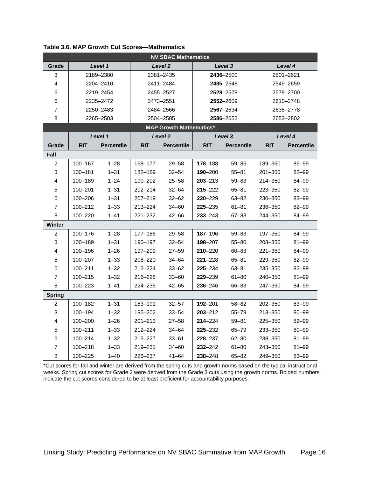|                |             |                   |             | <b>NV SBAC Mathematics</b>     |             |                   |             |                   |
|----------------|-------------|-------------------|-------------|--------------------------------|-------------|-------------------|-------------|-------------------|
| Grade          |             | Level 1           |             | Level <sub>2</sub>             |             | Level 3           |             | Level 4           |
| 3              |             | 2189-2380         |             | 2381-2435                      |             | 2436-2500         |             | 2501-2621         |
| 4              |             | 2204-2410         |             | 2411-2484                      |             | 2485-2548         |             | 2549-2659         |
| 5              |             | 2219-2454         |             | 2455-2527                      |             | 2528-2578         |             | 2579-2700         |
| 6              |             | 2235-2472         |             | 2473-2551                      |             | 2552-2609         |             | 2610-2748         |
| $\overline{7}$ |             | 2250-2483         |             | 2484-2566                      |             | 2567-2634         |             | 2635-2778         |
| 8              |             | 2265-2503         |             | 2504-2585                      |             | 2586-2652         |             | 2653-2802         |
|                |             |                   |             | <b>MAP Growth Mathematics*</b> |             |                   |             |                   |
|                |             | Level 1           |             | Level <sub>2</sub>             |             | Level 3           |             | Level 4           |
| Grade          | <b>RIT</b>  | <b>Percentile</b> | <b>RIT</b>  | <b>Percentile</b>              | <b>RIT</b>  | <b>Percentile</b> | <b>RIT</b>  | <b>Percentile</b> |
| Fall           |             |                   |             |                                |             |                   |             |                   |
| $\overline{c}$ | 100-167     | $1 - 28$          | 168-177     | $29 - 58$                      | 178-188     | $59 - 85$         | 189-350     | 86-99             |
| 3              | 100-181     | $1 - 31$          | 182-189     | $32 - 54$                      | $190 - 200$ | $55 - 81$         | 201-350     | 82-99             |
| 4              | 100-189     | $1 - 24$          | 190-202     | $25 - 58$                      | $203 - 213$ | $59 - 83$         | 214-350     | 84-99             |
| 5              | 100-201     | $1 - 31$          | 202-214     | $32 - 64$                      | $215 - 222$ | $65 - 81$         | 223-350     | 82-99             |
| 6              | 100-206     | $1 - 31$          | $207 - 219$ | $32 - 62$                      | $220 - 229$ | $63 - 82$         | 230-350     | 83-99             |
| 7              | 100-212     | $1 - 33$          | 213-224     | 34-60                          | 225-235     | $61 - 81$         | 236-350     | 82-99             |
| 8              | 100-220     | $1 - 41$          | $221 - 232$ | $42 - 66$                      | $233 - 243$ | $67 - 83$         | 244-350     | 84-99             |
| Winter         |             |                   |             |                                |             |                   |             |                   |
| $\overline{c}$ | 100-176     | $1 - 28$          | 177-186     | $29 - 58$                      | $187 - 196$ | $59 - 83$         | 197-350     | 84-99             |
| 3              | 100-189     | $1 - 31$          | 190-197     | $32 - 54$                      | 198-207     | $55 - 80$         | 208-350     | $81 - 99$         |
| 4              | 100-196     | $1 - 26$          | 197-209     | $27 - 59$                      | $210 - 220$ | $60 - 83$         | $221 - 350$ | 84-99             |
| 5              | 100-207     | $1 - 33$          | 208-220     | 34-64                          | $221 - 228$ | $65 - 81$         | 229-350     | $82 - 99$         |
| 6              | $100 - 211$ | $1 - 32$          | 212-224     | $33 - 62$                      | 225-234     | $63 - 81$         | 235-350     | 82-99             |
| $\overline{7}$ | $100 - 215$ | $1 - 32$          | 216-228     | $33 - 60$                      | 229-239     | $61 - 80$         | 240-350     | $81 - 99$         |
| 8              | 100-223     | $1 - 41$          | 224-235     | $42 - 65$                      | $236 - 246$ | 66-83             | 247-350     | 84-99             |
| <b>Spring</b>  |             |                   |             |                                |             |                   |             |                   |
| $\overline{c}$ | 100-182     | $1 - 31$          | 183-191     | $32 - 57$                      | $192 - 201$ | $58 - 82$         | 202-350     | 83-99             |
| 3              | 100-194     | $1 - 32$          | 195-202     | $33 - 54$                      | $203 - 212$ | $55 - 79$         | 213-350     | 80-99             |
| 4              | $100 - 200$ | $1 - 26$          | $201 - 213$ | $27 - 58$                      | $214 - 224$ | $59 - 81$         | 225-350     | 82-99             |
| 5              | $100 - 211$ | $1 - 33$          | $212 - 224$ | $34 - 64$                      | $225 - 232$ | $65 - 79$         | 233-350     | 80-99             |
| 6              | 100-214     | $1 - 32$          | 215-227     | $33 - 61$                      | 228-237     | $62 - 80$         | 238-350     | $81 - 99$         |
| 7              | $100 - 218$ | $1 - 33$          | 219-231     | $34 - 60$                      | $232 - 242$ | $61 - 80$         | 243-350     | $81 - 99$         |
| 8              | $100 - 225$ | $1 - 40$          | 226-237     | $41 - 64$                      | $238 - 248$ | $65 - 82$         | 249-350     | 83-99             |

<span id="page-15-0"></span>**Table 3.6. MAP Growth Cut Scores—Mathematics**

\*Cut scores for fall and winter are derived from the spring cuts and growth norms based on the typical instructional weeks. Spring cut scores for Grade 2 were derived from the Grade 3 cuts using the growth norms. Bolded numbers indicate the cut scores considered to be at least proficient for accountability purposes.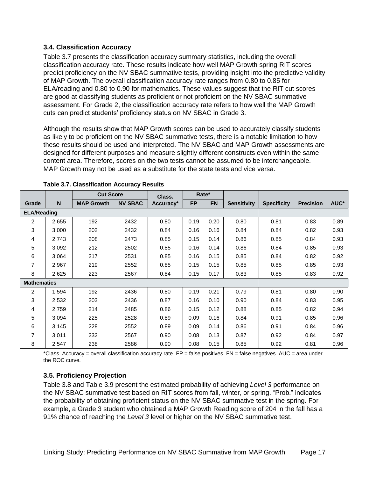### <span id="page-16-0"></span>**3.4. Classification Accuracy**

[Table 3.7](#page-16-2) presents the classification accuracy summary statistics, including the overall classification accuracy rate. These results indicate how well MAP Growth spring RIT scores predict proficiency on the NV SBAC summative tests, providing insight into the predictive validity of MAP Growth. The overall classification accuracy rate ranges from 0.80 to 0.85 for ELA/reading and 0.80 to 0.90 for mathematics. These values suggest that the RIT cut scores are good at classifying students as proficient or not proficient on the NV SBAC summative assessment. For Grade 2, the classification accuracy rate refers to how well the MAP Growth cuts can predict students' proficiency status on NV SBAC in Grade 3.

Although the results show that MAP Growth scores can be used to accurately classify students as likely to be proficient on the NV SBAC summative tests, there is a notable limitation to how these results should be used and interpreted. The NV SBAC and MAP Growth assessments are designed for different purposes and measure slightly different constructs even within the same content area. Therefore, scores on the two tests cannot be assumed to be interchangeable. MAP Growth may not be used as a substitute for the state tests and vice versa.

|                    |       | <b>Cut Score</b>  |                | Class.    | Rate*     |           |                    |                    |                  |      |
|--------------------|-------|-------------------|----------------|-----------|-----------|-----------|--------------------|--------------------|------------------|------|
| Grade              | N     | <b>MAP Growth</b> | <b>NV SBAC</b> | Accuracy* | <b>FP</b> | <b>FN</b> | <b>Sensitivity</b> | <b>Specificity</b> | <b>Precision</b> | AUC* |
| <b>ELA/Reading</b> |       |                   |                |           |           |           |                    |                    |                  |      |
| $\overline{2}$     | 2,655 | 192               | 2432           | 0.80      | 0.19      | 0.20      | 0.80               | 0.81               | 0.83             | 0.89 |
| 3                  | 3,000 | 202               | 2432           | 0.84      | 0.16      | 0.16      | 0.84               | 0.84               | 0.82             | 0.93 |
| 4                  | 2,743 | 208               | 2473           | 0.85      | 0.15      | 0.14      | 0.86               | 0.85               | 0.84             | 0.93 |
| 5                  | 3,092 | 212               | 2502           | 0.85      | 0.16      | 0.14      | 0.86               | 0.84               | 0.85             | 0.93 |
| 6                  | 3,064 | 217               | 2531           | 0.85      | 0.16      | 0.15      | 0.85               | 0.84               | 0.82             | 0.92 |
| 7                  | 2,967 | 219               | 2552           | 0.85      | 0.15      | 0.15      | 0.85               | 0.85               | 0.85             | 0.93 |
| 8                  | 2,625 | 223               | 2567           | 0.84      | 0.15      | 0.17      | 0.83               | 0.85               | 0.83             | 0.92 |
| <b>Mathematics</b> |       |                   |                |           |           |           |                    |                    |                  |      |
| $\overline{2}$     | 1,594 | 192               | 2436           | 0.80      | 0.19      | 0.21      | 0.79               | 0.81               | 0.80             | 0.90 |
| 3                  | 2,532 | 203               | 2436           | 0.87      | 0.16      | 0.10      | 0.90               | 0.84               | 0.83             | 0.95 |
| 4                  | 2,759 | 214               | 2485           | 0.86      | 0.15      | 0.12      | 0.88               | 0.85               | 0.82             | 0.94 |
| 5                  | 3,094 | 225               | 2528           | 0.89      | 0.09      | 0.16      | 0.84               | 0.91               | 0.85             | 0.96 |
| 6                  | 3,145 | 228               | 2552           | 0.89      | 0.09      | 0.14      | 0.86               | 0.91               | 0.84             | 0.96 |
| 7                  | 3,011 | 232               | 2567           | 0.90      | 0.08      | 0.13      | 0.87               | 0.92               | 0.84             | 0.97 |
| 8                  | 2,547 | 238               | 2586           | 0.90      | 0.08      | 0.15      | 0.85               | 0.92               | 0.81             | 0.96 |

<span id="page-16-2"></span>**Table 3.7. Classification Accuracy Results**

 $*$ Class. Accuracy = overall classification accuracy rate. FP = false positives. FN = false negatives. AUC = area under the ROC curve.

### <span id="page-16-1"></span>**3.5. Proficiency Projection**

[Table 3.8](#page-17-0) and [Table 3.9](#page-21-0) present the estimated probability of achieving *Level 3* performance on the NV SBAC summative test based on RIT scores from fall, winter, or spring. "Prob." indicates the probability of obtaining proficient status on the NV SBAC summative test in the spring. For example, a Grade 3 student who obtained a MAP Growth Reading score of 204 in the fall has a 91% chance of reaching the *Level 3* level or higher on the NV SBAC summative test.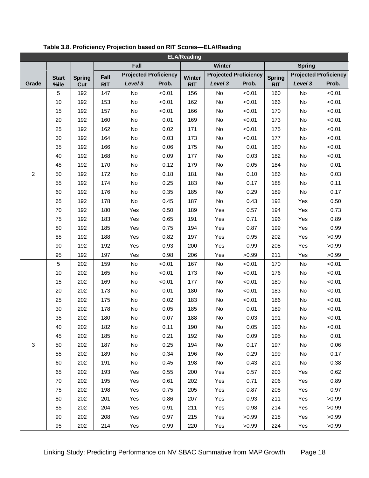| <b>ELA/Reading</b> |              |               |            |                              |        |            |                              |        |               |               |                              |
|--------------------|--------------|---------------|------------|------------------------------|--------|------------|------------------------------|--------|---------------|---------------|------------------------------|
|                    |              |               |            | Fall                         |        |            | Winter                       |        |               | <b>Spring</b> |                              |
|                    | <b>Start</b> | <b>Spring</b> | Fall       | <b>Projected Proficiency</b> |        | Winter     | <b>Projected Proficiency</b> |        | <b>Spring</b> |               | <b>Projected Proficiency</b> |
| Grade              | %ile         | Cut           | <b>RIT</b> | Level 3                      | Prob.  | <b>RIT</b> | Level 3                      | Prob.  | <b>RIT</b>    | Level 3       | Prob.                        |
|                    | 5            | 192           | 147        | No                           | < 0.01 | 156        | No                           | < 0.01 | 160           | No            | < 0.01                       |
| $\overline{c}$     | 10           | 192           | 153        | $\mathsf{No}$                | < 0.01 | 162        | No                           | < 0.01 | 166           | No            | < 0.01                       |
|                    | 15           | 192           | 157        | No                           | < 0.01 | 166        | No                           | < 0.01 | 170           | No            | < 0.01                       |
|                    | 20           | 192           | 160        | No                           | 0.01   | 169        | No                           | < 0.01 | 173           | No            | < 0.01                       |
|                    | 25           | 192           | 162        | No                           | 0.02   | 171        | No                           | < 0.01 | 175           | No            | < 0.01                       |
|                    | 30           | 192           | 164        | No                           | 0.03   | 173        | No                           | < 0.01 | 177           | No            | < 0.01                       |
|                    | 35           | 192           | 166        | No                           | 0.06   | 175        | No                           | 0.01   | 180           | No            | < 0.01                       |
|                    | 40           | 192           | 168        | No                           | 0.09   | 177        | No                           | 0.03   | 182           | No            | < 0.01                       |
|                    | 45           | 192           | 170        | No                           | 0.12   | 179        | No                           | 0.05   | 184           | No            | 0.01                         |
|                    | 50           | 192           | 172        | $\mathsf{No}$                | 0.18   | 181        | No                           | 0.10   | 186           | No            | 0.03                         |
|                    | 55           | 192           | 174        | No                           | 0.25   | 183        | No                           | 0.17   | 188           | No            | 0.11                         |
|                    | 60           | 192           | 176        | No                           | 0.35   | 185        | No                           | 0.29   | 189           | No            | 0.17                         |
|                    | 65           | 192           | 178        | No                           | 0.45   | 187        | No                           | 0.43   | 192           | Yes           | 0.50                         |
|                    | 70           | 192           | 180        | Yes                          | 0.50   | 189        | Yes                          | 0.57   | 194           | Yes           | 0.73                         |
|                    | 75           | 192           | 183        | Yes                          | 0.65   | 191        | Yes                          | 0.71   | 196           | Yes           | 0.89                         |
|                    | 80           | 192           | 185        | Yes                          | 0.75   | 194        | Yes                          | 0.87   | 199           | Yes           | 0.99                         |
|                    | 85           | 192           | 188        | Yes                          | 0.82   | 197        | Yes                          | 0.95   | 202           | Yes           | >0.99                        |
|                    | 90           | 192           | 192        | Yes                          | 0.93   | 200        | Yes                          | 0.99   | 205           | Yes           | >0.99                        |
|                    | 95           | 192           | 197        | Yes                          | 0.98   | 206        | Yes                          | >0.99  | 211           | Yes           | >0.99                        |
|                    | 5            | 202           | 159        | No                           | < 0.01 | 167        | No                           | < 0.01 | 170           | No            | < 0.01                       |
|                    | 10           | 202           | 165        | No                           | < 0.01 | 173        | No                           | < 0.01 | 176           | No            | < 0.01                       |
|                    | 15           | 202           | 169        | No                           | < 0.01 | 177        | No                           | < 0.01 | 180           | No            | < 0.01                       |
|                    | 20           | 202           | 173        | No                           | 0.01   | 180        | No                           | < 0.01 | 183           | No            | < 0.01                       |
|                    | 25           | 202           | 175        | No                           | 0.02   | 183        | No                           | < 0.01 | 186           | No            | < 0.01                       |
|                    | 30           | 202           | 178        | No                           | 0.05   | 185        | No                           | 0.01   | 189           | No            | < 0.01                       |
|                    | 35           | 202           | 180        | No                           | 0.07   | 188        | No                           | 0.03   | 191           | No            | < 0.01                       |
|                    | 40           | 202           | 182        | No                           | 0.11   | 190        | No                           | 0.05   | 193           | No            | < 0.01                       |
|                    | 45           | 202           | 185        | No                           | 0.21   | 192        | No                           | 0.09   | 195           | No            | 0.01                         |
| 3                  | 50           | 202           | 187        | No                           | 0.25   | 194        | No                           | 0.17   | 197           | No            | 0.06                         |
|                    | 55           | 202           | 189        | No                           | 0.34   | 196        | No                           | 0.29   | 199           | No            | 0.17                         |
|                    | 60           | 202           | 191        | $\mathsf{No}$                | 0.45   | 198        | No                           | 0.43   | 201           | No            | 0.38                         |
|                    | 65           | 202           | 193        | Yes                          | 0.55   | 200        | Yes                          | 0.57   | 203           | Yes           | 0.62                         |
|                    | 70           | 202           | 195        | Yes                          | 0.61   | 202        | Yes                          | 0.71   | 206           | Yes           | 0.89                         |
|                    | 75           | 202           | 198        | Yes                          | 0.75   | 205        | Yes                          | 0.87   | 208           | Yes           | 0.97                         |
|                    | 80           | 202           | 201        | Yes                          | 0.86   | 207        | Yes                          | 0.93   | 211           | Yes           | >0.99                        |
|                    | 85           | 202           | 204        | Yes                          | 0.91   | 211        | Yes                          | 0.98   | 214           | Yes           | >0.99                        |
|                    | 90           | 202           | 208        | Yes                          | 0.97   | 215        | Yes                          | >0.99  | 218           | Yes           | >0.99                        |
|                    | 95           | 202           | 214        | Yes                          | 0.99   | 220        | Yes                          | >0.99  | 224           | Yes           | >0.99                        |

<span id="page-17-0"></span>**Table 3.8. Proficiency Projection based on RIT Scores—ELA/Reading**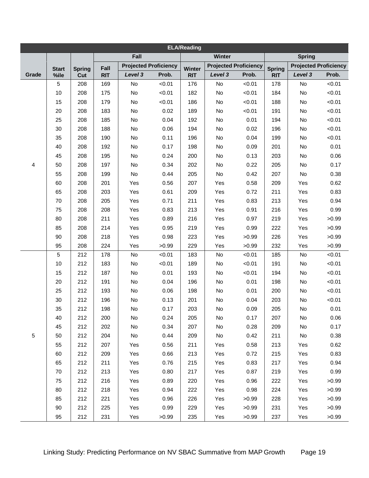| <b>ELA/Reading</b> |                |               |            |                              |        |            |                              |        |               |               |                              |
|--------------------|----------------|---------------|------------|------------------------------|--------|------------|------------------------------|--------|---------------|---------------|------------------------------|
|                    |                |               |            | Fall                         |        |            | Winter                       |        |               | <b>Spring</b> |                              |
|                    | <b>Start</b>   | <b>Spring</b> | Fall       | <b>Projected Proficiency</b> |        | Winter     | <b>Projected Proficiency</b> |        | <b>Spring</b> |               | <b>Projected Proficiency</b> |
| Grade              | %ile           | Cut           | <b>RIT</b> | Level 3                      | Prob.  | <b>RIT</b> | Level 3                      | Prob.  | <b>RIT</b>    | Level 3       | Prob.                        |
|                    | 5              | 208           | 169        | No                           | < 0.01 | 176        | No                           | < 0.01 | 178           | <b>No</b>     | < 0.01                       |
|                    | 10             | 208           | 175        | No                           | < 0.01 | 182        | No                           | < 0.01 | 184           | No            | < 0.01                       |
|                    | 15             | 208           | 179        | No                           | < 0.01 | 186        | No                           | < 0.01 | 188           | No            | < 0.01                       |
|                    | 20             | 208           | 183        | No                           | 0.02   | 189        | No                           | < 0.01 | 191           | No            | < 0.01                       |
|                    | 25             | 208           | 185        | No                           | 0.04   | 192        | No                           | 0.01   | 194           | No            | < 0.01                       |
|                    | 30             | 208           | 188        | No                           | 0.06   | 194        | No                           | 0.02   | 196           | No            | < 0.01                       |
|                    | 35             | 208           | 190        | No                           | 0.11   | 196        | No                           | 0.04   | 199           | No            | < 0.01                       |
|                    | 40             | 208           | 192        | No                           | 0.17   | 198        | No                           | 0.09   | 201           | No            | 0.01                         |
|                    | 45             | 208           | 195        | No                           | 0.24   | 200        | No                           | 0.13   | 203           | No            | 0.06                         |
| 4                  | 50             | 208           | 197        | No                           | 0.34   | 202        | No                           | 0.22   | 205           | No            | 0.17                         |
|                    | 55             | 208           | 199        | No                           | 0.44   | 205        | No                           | 0.42   | 207           | No            | 0.38                         |
|                    | 60             | 208           | 201        | Yes                          | 0.56   | 207        | Yes                          | 0.58   | 209           | Yes           | 0.62                         |
|                    | 65             | 208           | 203        | Yes                          | 0.61   | 209        | Yes                          | 0.72   | 211           | Yes           | 0.83                         |
|                    | 70             | 208           | 205        | Yes                          | 0.71   | 211        | Yes                          | 0.83   | 213           | Yes           | 0.94                         |
|                    | 75             | 208           | 208        | Yes                          | 0.83   | 213        | Yes                          | 0.91   | 216           | Yes           | 0.99                         |
|                    | 80             | 208           | 211        | Yes                          | 0.89   | 216        | Yes                          | 0.97   | 219           | Yes           | >0.99                        |
|                    | 85             | 208           | 214        | Yes                          | 0.95   | 219        | Yes                          | 0.99   | 222           | Yes           | >0.99                        |
|                    | 90             | 208           | 218        | Yes                          | 0.98   | 223        | Yes                          | >0.99  | 226           | Yes           | >0.99                        |
|                    | 95             | 208           | 224        | Yes                          | >0.99  | 229        | Yes                          | >0.99  | 232           | Yes           | >0.99                        |
|                    | $\overline{5}$ | 212           | 178        | No                           | < 0.01 | 183        | No                           | < 0.01 | 185           | No            | < 0.01                       |
|                    | 10             | 212           | 183        | No                           | < 0.01 | 189        | No                           | < 0.01 | 191           | No            | < 0.01                       |
|                    | 15             | 212           | 187        | No                           | 0.01   | 193        | No                           | < 0.01 | 194           | No            | < 0.01                       |
|                    | 20             | 212           | 191        | No                           | 0.04   | 196        | No                           | 0.01   | 198           | No            | < 0.01                       |
|                    | 25             | 212           | 193        | No                           | 0.06   | 198        | No                           | 0.01   | 200           | No            | < 0.01                       |
|                    | 30             | 212           | 196        | No                           | 0.13   | 201        | No                           | 0.04   | 203           | No            | < 0.01                       |
|                    | 35             | 212           | 198        | No                           | 0.17   | 203        | No                           | 0.09   | 205           | No            | 0.01                         |
|                    | 40             | 212           | 200        | No                           | 0.24   | 205        | No                           | 0.17   | 207           | No            | 0.06                         |
|                    | 45             | 212           | 202        | No                           | 0.34   | 207        | No                           | 0.28   | 209           | No            | 0.17                         |
| 5                  | 50             | 212           | 204        | No                           | 0.44   | 209        | No                           | 0.42   | 211           | No            | 0.38                         |
|                    | 55             | 212           | 207        | Yes                          | 0.56   | 211        | Yes                          | 0.58   | 213           | Yes           | 0.62                         |
|                    | 60             | 212           | 209        | Yes                          | 0.66   | 213        | Yes                          | 0.72   | 215           | Yes           | 0.83                         |
|                    | 65             | 212           | 211        | Yes                          | 0.76   | 215        | Yes                          | 0.83   | 217           | Yes           | 0.94                         |
|                    | 70             | 212           | 213        | Yes                          | 0.80   | 217        | Yes                          | 0.87   | 219           | Yes           | 0.99                         |
|                    | 75             | 212           | 216        | Yes                          | 0.89   | 220        | Yes                          | 0.96   | 222           | Yes           | >0.99                        |
|                    | 80             | 212           | 218        | Yes                          | 0.94   | 222        | Yes                          | 0.98   | 224           | Yes           | >0.99                        |
|                    | 85             | 212           | 221        | Yes                          | 0.96   | 226        | Yes                          | >0.99  | 228           | Yes           | >0.99                        |
|                    | 90             | 212           | 225        | Yes                          | 0.99   | 229        | Yes                          | >0.99  | 231           | Yes           | >0.99                        |
|                    | 95             | 212           | 231        | Yes                          | >0.99  | 235        | Yes                          | >0.99  | 237           | Yes           | >0.99                        |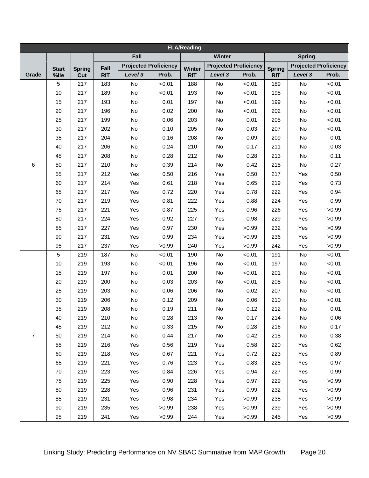| <b>ELA/Reading</b> |                |               |            |                              |        |            |                              |        |               |               |                              |
|--------------------|----------------|---------------|------------|------------------------------|--------|------------|------------------------------|--------|---------------|---------------|------------------------------|
|                    |                |               |            | Fall                         |        |            | Winter                       |        |               | <b>Spring</b> |                              |
|                    | <b>Start</b>   | <b>Spring</b> | Fall       | <b>Projected Proficiency</b> |        | Winter     | <b>Projected Proficiency</b> |        | <b>Spring</b> |               | <b>Projected Proficiency</b> |
| Grade              | %ile           | Cut           | <b>RIT</b> | Level 3                      | Prob.  | <b>RIT</b> | Level 3                      | Prob.  | <b>RIT</b>    | Level 3       | Prob.                        |
|                    | 5              | 217           | 183        | No                           | < 0.01 | 188        | No                           | < 0.01 | 189           | <b>No</b>     | < 0.01                       |
|                    | 10             | 217           | 189        | No                           | < 0.01 | 193        | No                           | < 0.01 | 195           | No            | < 0.01                       |
|                    | 15             | 217           | 193        | No                           | 0.01   | 197        | No                           | < 0.01 | 199           | No            | < 0.01                       |
|                    | 20             | 217           | 196        | No                           | 0.02   | 200        | No                           | < 0.01 | 202           | No            | < 0.01                       |
|                    | 25             | 217           | 199        | No                           | 0.06   | 203        | No                           | 0.01   | 205           | No            | < 0.01                       |
|                    | 30             | 217           | 202        | No                           | 0.10   | 205        | No                           | 0.03   | 207           | No            | < 0.01                       |
|                    | 35             | 217           | 204        | No                           | 0.16   | 208        | No                           | 0.09   | 209           | No            | 0.01                         |
|                    | 40             | 217           | 206        | No                           | 0.24   | 210        | No                           | 0.17   | 211           | No            | 0.03                         |
|                    | 45             | 217           | 208        | No                           | 0.28   | 212        | No                           | 0.28   | 213           | No            | 0.11                         |
| 6                  | 50             | 217           | 210        | No                           | 0.39   | 214        | No                           | 0.42   | 215           | No            | 0.27                         |
|                    | 55             | 217           | 212        | Yes                          | 0.50   | 216        | Yes                          | 0.50   | 217           | Yes           | 0.50                         |
|                    | 60             | 217           | 214        | Yes                          | 0.61   | 218        | Yes                          | 0.65   | 219           | Yes           | 0.73                         |
|                    | 65             | 217           | 217        | Yes                          | 0.72   | 220        | Yes                          | 0.78   | 222           | Yes           | 0.94                         |
|                    | 70             | 217           | 219        | Yes                          | 0.81   | 222        | Yes                          | 0.88   | 224           | Yes           | 0.99                         |
|                    | 75             | 217           | 221        | Yes                          | 0.87   | 225        | Yes                          | 0.96   | 226           | Yes           | >0.99                        |
|                    | 80             | 217           | 224        | Yes                          | 0.92   | 227        | Yes                          | 0.98   | 229           | Yes           | >0.99                        |
|                    | 85             | 217           | 227        | Yes                          | 0.97   | 230        | Yes                          | >0.99  | 232           | Yes           | >0.99                        |
|                    | 90             | 217           | 231        | Yes                          | 0.99   | 234        | Yes                          | >0.99  | 236           | Yes           | >0.99                        |
|                    | 95             | 217           | 237        | Yes                          | >0.99  | 240        | Yes                          | >0.99  | 242           | Yes           | >0.99                        |
|                    | $\overline{5}$ | 219           | 187        | No                           | < 0.01 | 190        | No                           | < 0.01 | 191           | No            | < 0.01                       |
|                    | 10             | 219           | 193        | No                           | < 0.01 | 196        | No                           | < 0.01 | 197           | No            | < 0.01                       |
|                    | 15             | 219           | 197        | No                           | 0.01   | 200        | No                           | < 0.01 | 201           | No            | < 0.01                       |
|                    | 20             | 219           | 200        | No                           | 0.03   | 203        | No                           | < 0.01 | 205           | No            | < 0.01                       |
|                    | 25             | 219           | 203        | No                           | 0.06   | 206        | No                           | 0.02   | 207           | No            | < 0.01                       |
|                    | 30             | 219           | 206        | No                           | 0.12   | 209        | No                           | 0.06   | 210           | No            | < 0.01                       |
|                    | 35             | 219           | 208        | No                           | 0.19   | 211        | No                           | 0.12   | 212           | No            | 0.01                         |
|                    | 40             | 219           | 210        | No                           | 0.28   | 213        | No                           | 0.17   | 214           | No            | 0.06                         |
|                    | 45             | 219           | 212        | No                           | 0.33   | 215        | No                           | 0.28   | 216           | No            | 0.17                         |
| $\overline{7}$     | 50             | 219           | 214        | No                           | 0.44   | 217        | No                           | 0.42   | 218           | No            | 0.38                         |
|                    | 55             | 219           | 216        | Yes                          | 0.56   | 219        | Yes                          | 0.58   | 220           | Yes           | 0.62                         |
|                    | 60             | 219           | 218        | Yes                          | 0.67   | 221        | Yes                          | 0.72   | 223           | Yes           | 0.89                         |
|                    | 65             | 219           | 221        | Yes                          | 0.76   | 223        | Yes                          | 0.83   | 225           | Yes           | 0.97                         |
|                    | 70             | 219           | 223        | Yes                          | 0.84   | 226        | Yes                          | 0.94   | 227           | Yes           | 0.99                         |
|                    | 75             | 219           | 225        | Yes                          | 0.90   | 228        | Yes                          | 0.97   | 229           | Yes           | >0.99                        |
|                    | 80             | 219           | 228        | Yes                          | 0.96   | 231        | Yes                          | 0.99   | 232           | Yes           | >0.99                        |
|                    | 85             | 219           | 231        | Yes                          | 0.98   | 234        | Yes                          | >0.99  | 235           | Yes           | >0.99                        |
|                    | 90             | 219           | 235        | Yes                          | >0.99  | 238        | Yes                          | >0.99  | 239           | Yes           | >0.99                        |
|                    | 95             | 219           | 241        | Yes                          | >0.99  | 244        | Yes                          | >0.99  | 245           | Yes           | >0.99                        |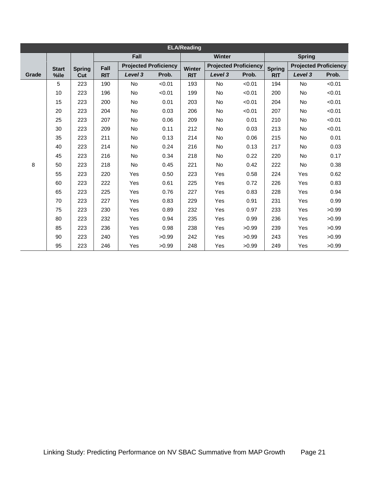|       | <b>ELA/Reading</b> |               |            |                              |        |            |                              |        |               |               |                              |  |  |  |
|-------|--------------------|---------------|------------|------------------------------|--------|------------|------------------------------|--------|---------------|---------------|------------------------------|--|--|--|
|       |                    |               |            | Fall                         |        |            | Winter                       |        |               | <b>Spring</b> |                              |  |  |  |
|       | <b>Start</b>       | <b>Spring</b> | Fall       | <b>Projected Proficiency</b> |        | Winter     | <b>Projected Proficiency</b> |        | <b>Spring</b> |               | <b>Projected Proficiency</b> |  |  |  |
| Grade | %ile               | Cut           | <b>RIT</b> | Level <sub>3</sub>           | Prob.  | <b>RIT</b> | Level 3                      | Prob.  | <b>RIT</b>    | Level 3       | Prob.                        |  |  |  |
|       | 5                  | 223           | 190        | No                           | < 0.01 | 193        | No                           | < 0.01 | 194           | <b>No</b>     | < 0.01                       |  |  |  |
|       | 10                 | 223           | 196        | No                           | < 0.01 | 199        | <b>No</b>                    | < 0.01 | 200           | <b>No</b>     | < 0.01                       |  |  |  |
|       | 15                 | 223           | 200        | No                           | 0.01   | 203        | No.                          | < 0.01 | 204           | No.           | < 0.01                       |  |  |  |
|       | 20                 | 223           | 204        | No                           | 0.03   | 206        | <b>No</b>                    | < 0.01 | 207           | <b>No</b>     | < 0.01                       |  |  |  |
|       | 25                 | 223           | 207        | No                           | 0.06   | 209        | <b>No</b>                    | 0.01   | 210           | <b>No</b>     | < 0.01                       |  |  |  |
|       | 30                 | 223           | 209        | No                           | 0.11   | 212        | <b>No</b>                    | 0.03   | 213           | <b>No</b>     | < 0.01                       |  |  |  |
|       | 35                 | 223           | 211        | No                           | 0.13   | 214        | <b>No</b>                    | 0.06   | 215           | <b>No</b>     | 0.01                         |  |  |  |
|       | 40                 | 223           | 214        | <b>No</b>                    | 0.24   | 216        | No.                          | 0.13   | 217           | No.           | 0.03                         |  |  |  |
|       | 45                 | 223           | 216        | No                           | 0.34   | 218        | No                           | 0.22   | 220           | No            | 0.17                         |  |  |  |
| 8     | 50                 | 223           | 218        | No                           | 0.45   | 221        | <b>No</b>                    | 0.42   | 222           | <b>No</b>     | 0.38                         |  |  |  |
|       | 55                 | 223           | 220        | Yes                          | 0.50   | 223        | Yes                          | 0.58   | 224           | Yes           | 0.62                         |  |  |  |
|       | 60                 | 223           | 222        | Yes                          | 0.61   | 225        | <b>Yes</b>                   | 0.72   | 226           | Yes           | 0.83                         |  |  |  |
|       | 65                 | 223           | 225        | Yes                          | 0.76   | 227        | Yes                          | 0.83   | 228           | Yes           | 0.94                         |  |  |  |
|       | 70                 | 223           | 227        | Yes                          | 0.83   | 229        | <b>Yes</b>                   | 0.91   | 231           | Yes           | 0.99                         |  |  |  |
|       | 75                 | 223           | 230        | Yes                          | 0.89   | 232        | Yes                          | 0.97   | 233           | Yes           | >0.99                        |  |  |  |
|       | 80                 | 223           | 232        | Yes                          | 0.94   | 235        | Yes                          | 0.99   | 236           | Yes           | >0.99                        |  |  |  |
|       | 85                 | 223           | 236        | Yes                          | 0.98   | 238        | <b>Yes</b>                   | >0.99  | 239           | Yes           | >0.99                        |  |  |  |
|       | 90                 | 223           | 240        | Yes                          | >0.99  | 242        | Yes                          | >0.99  | 243           | Yes           | >0.99                        |  |  |  |
|       | 95                 | 223           | 246        | Yes                          | >0.99  | 248        | <b>Yes</b>                   | >0.99  | 249           | Yes           | >0.99                        |  |  |  |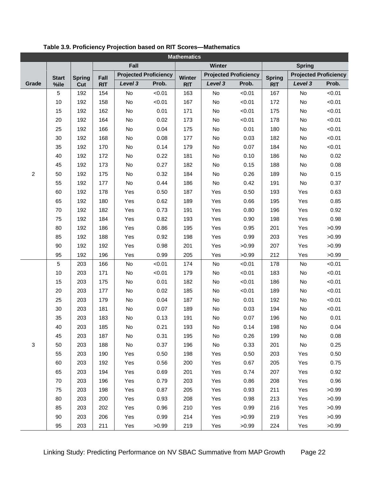| <b>Mathematics</b> |              |               |            |         |                              |               |         |                              |               |               |                              |  |
|--------------------|--------------|---------------|------------|---------|------------------------------|---------------|---------|------------------------------|---------------|---------------|------------------------------|--|
|                    |              |               |            | Fall    |                              |               | Winter  |                              |               | <b>Spring</b> |                              |  |
|                    | <b>Start</b> | <b>Spring</b> | Fall       |         | <b>Projected Proficiency</b> | <b>Winter</b> |         | <b>Projected Proficiency</b> | <b>Spring</b> |               | <b>Projected Proficiency</b> |  |
| Grade              | %ile         | Cut           | <b>RIT</b> | Level 3 | Prob.                        | <b>RIT</b>    | Level 3 | Prob.                        | <b>RIT</b>    | Level 3       | Prob.                        |  |
|                    | 5            | 192           | 154        | No      | < 0.01                       | 163           | No      | < 0.01                       | 167           | No            | < 0.01                       |  |
| $\overline{c}$     | 10           | 192           | 158        | No      | < 0.01                       | 167           | No      | < 0.01                       | 172           | No            | < 0.01                       |  |
|                    | 15           | 192           | 162        | No      | 0.01                         | 171           | No      | < 0.01                       | 175           | No            | < 0.01                       |  |
|                    | 20           | 192           | 164        | No      | 0.02                         | 173           | No      | < 0.01                       | 178           | No            | < 0.01                       |  |
|                    | 25           | 192           | 166        | No      | 0.04                         | 175           | No      | 0.01                         | 180           | No            | < 0.01                       |  |
|                    | 30           | 192           | 168        | No      | 0.08                         | 177           | No      | 0.03                         | 182           | No            | < 0.01                       |  |
|                    | 35           | 192           | 170        | No      | 0.14                         | 179           | No      | 0.07                         | 184           | No            | < 0.01                       |  |
|                    | 40           | 192           | 172        | No      | 0.22                         | 181           | No      | 0.10                         | 186           | No            | 0.02                         |  |
|                    | 45           | 192           | 173        | No      | 0.27                         | 182           | No      | 0.15                         | 188           | No            | 0.08                         |  |
|                    | 50           | 192           | 175        | No      | 0.32                         | 184           | No      | 0.26                         | 189           | No            | 0.15                         |  |
|                    | 55           | 192           | 177        | No      | 0.44                         | 186           | No      | 0.42                         | 191           | No            | 0.37                         |  |
|                    | 60           | 192           | 178        | Yes     | 0.50                         | 187           | Yes     | 0.50                         | 193           | Yes           | 0.63                         |  |
|                    | 65           | 192           | 180        | Yes     | 0.62                         | 189           | Yes     | 0.66                         | 195           | Yes           | 0.85                         |  |
|                    | 70           | 192           | 182        | Yes     | 0.73                         | 191           | Yes     | 0.80                         | 196           | Yes           | 0.92                         |  |
|                    | 75           | 192           | 184        | Yes     | 0.82                         | 193           | Yes     | 0.90                         | 198           | Yes           | 0.98                         |  |
|                    | 80           | 192           | 186        | Yes     | 0.86                         | 195           | Yes     | 0.95                         | 201           | Yes           | >0.99                        |  |
|                    | 85           | 192           | 188        | Yes     | 0.92                         | 198           | Yes     | 0.99                         | 203           | Yes           | >0.99                        |  |
|                    | 90           | 192           | 192        | Yes     | 0.98                         | 201           | Yes     | >0.99                        | 207           | Yes           | >0.99                        |  |
|                    | 95           | 192           | 196        | Yes     | 0.99                         | 205           | Yes     | >0.99                        | 212           | Yes           | >0.99                        |  |
|                    | 5            | 203           | 166        | No      | < 0.01                       | 174           | No      | < 0.01                       | 178           | No            | < 0.01                       |  |
|                    | 10           | 203           | 171        | No      | < 0.01                       | 179           | No      | < 0.01                       | 183           | No            | < 0.01                       |  |
|                    | 15           | 203           | 175        | No      | 0.01                         | 182           | No      | < 0.01                       | 186           | No            | < 0.01                       |  |
|                    | 20           | 203           | 177        | No      | 0.02                         | 185           | No      | < 0.01                       | 189           | No            | < 0.01                       |  |
|                    | 25           | 203           | 179        | No      | 0.04                         | 187           | No      | 0.01                         | 192           | No            | < 0.01                       |  |
|                    | 30           | 203           | 181        | No      | 0.07                         | 189           | No      | 0.03                         | 194           | No            | < 0.01                       |  |
|                    | 35           | 203           | 183        | No      | 0.13                         | 191           | No      | 0.07                         | 196           | No            | 0.01                         |  |
|                    | 40           | 203           | 185        | No      | 0.21                         | 193           | No      | 0.14                         | 198           | No            | 0.04                         |  |
|                    | 45           | 203           | 187        | No      | 0.31                         | 195           | No      | 0.26                         | 199           | No            | 0.08                         |  |
| 3                  | 50           | 203           | 188        | No      | 0.37                         | 196           | No      | 0.33                         | 201           | No            | 0.25                         |  |
|                    | 55           | 203           | 190        | Yes     | 0.50                         | 198           | Yes     | 0.50                         | 203           | Yes           | 0.50                         |  |
|                    | 60           | 203           | 192        | Yes     | 0.56                         | 200           | Yes     | 0.67                         | 205           | Yes           | 0.75                         |  |
|                    | 65           | 203           | 194        | Yes     | 0.69                         | 201           | Yes     | 0.74                         | 207           | Yes           | 0.92                         |  |
|                    | 70           | 203           | 196        | Yes     | 0.79                         | 203           | Yes     | 0.86                         | 208           | Yes           | 0.96                         |  |
|                    | 75           | 203           | 198        | Yes     | 0.87                         | 205           | Yes     | 0.93                         | 211           | Yes           | >0.99                        |  |
|                    | 80           | 203           | 200        | Yes     | 0.93                         | 208           | Yes     | 0.98                         | 213           | Yes           | >0.99                        |  |
|                    | 85           | 203           | 202        | Yes     | 0.96                         | 210           | Yes     | 0.99                         | 216           | Yes           | >0.99                        |  |
|                    | 90           | 203           | 206        | Yes     | 0.99                         | 214           | Yes     | >0.99                        | 219           | Yes           | >0.99                        |  |
|                    | 95           | 203           | 211        | Yes     | >0.99                        | 219           | Yes     | >0.99                        | 224           | Yes           | >0.99                        |  |

<span id="page-21-0"></span>**Table 3.9. Proficiency Projection based on RIT Scores—Mathematics**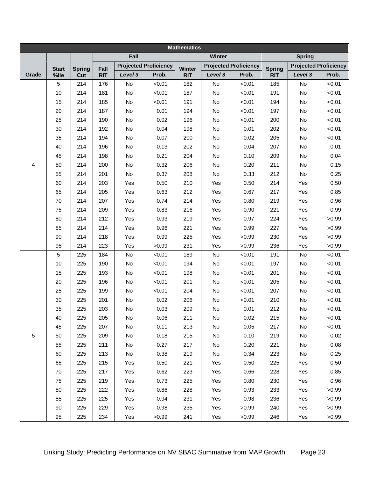| <b>Mathematics</b> |                 |               |            |                    |                              |            |         |                              |               |               |                              |  |
|--------------------|-----------------|---------------|------------|--------------------|------------------------------|------------|---------|------------------------------|---------------|---------------|------------------------------|--|
|                    |                 |               |            | Fall               |                              |            | Winter  |                              |               | <b>Spring</b> |                              |  |
|                    | <b>Start</b>    | <b>Spring</b> | Fall       |                    | <b>Projected Proficiency</b> | Winter     |         | <b>Projected Proficiency</b> | <b>Spring</b> |               | <b>Projected Proficiency</b> |  |
| Grade              | %ile            | Cut           | <b>RIT</b> | Level <sub>3</sub> | Prob.                        | <b>RIT</b> | Level 3 | Prob.                        | <b>RIT</b>    | Level 3       | Prob.                        |  |
|                    | 5               | 214           | 176        | No                 | < 0.01                       | 182        | No      | < 0.01                       | 185           | No            | < 0.01                       |  |
|                    | 10              | 214           | 181        | No                 | < 0.01                       | 187        | No      | < 0.01                       | 191           | No            | < 0.01                       |  |
|                    | 15              | 214           | 185        | No                 | < 0.01                       | 191        | No      | < 0.01                       | 194           | No            | < 0.01                       |  |
|                    | 20              | 214           | 187        | No                 | 0.01                         | 194        | No      | < 0.01                       | 197           | No            | < 0.01                       |  |
|                    | 25              | 214           | 190        | No                 | 0.02                         | 196        | No      | < 0.01                       | 200           | No            | < 0.01                       |  |
|                    | 30              | 214           | 192        | No                 | 0.04                         | 198        | No      | 0.01                         | 202           | No            | < 0.01                       |  |
|                    | 35              | 214           | 194        | No                 | 0.07                         | 200        | No      | 0.02                         | 205           | No            | < 0.01                       |  |
|                    | 40              | 214           | 196        | No                 | 0.13                         | 202        | No      | 0.04                         | 207           | No            | 0.01                         |  |
|                    | 45              | 214           | 198        | No                 | 0.21                         | 204        | No      | 0.10                         | 209           | No            | 0.04                         |  |
| 4                  | 50              | 214           | 200        | No                 | 0.32                         | 206        | No      | 0.20                         | 211           | No            | 0.15                         |  |
|                    | 55              | 214           | 201        | No                 | 0.37                         | 208        | No      | 0.33                         | 212           | No            | 0.25                         |  |
|                    | 60              | 214           | 203        | Yes                | 0.50                         | 210        | Yes     | 0.50                         | 214           | Yes           | 0.50                         |  |
|                    | 65              | 214           | 205        | Yes                | 0.63                         | 212        | Yes     | 0.67                         | 217           | Yes           | 0.85                         |  |
|                    | 70              | 214           | 207        | Yes                | 0.74                         | 214        | Yes     | 0.80                         | 219           | Yes           | 0.96                         |  |
|                    | 75              | 214           | 209        | Yes                | 0.83                         | 216        | Yes     | 0.90                         | 221           | Yes           | 0.99                         |  |
|                    | 80              | 214           | 212        | Yes                | 0.93                         | 219        | Yes     | 0.97                         | 224           | Yes           | >0.99                        |  |
|                    | 85              | 214           | 214        | Yes                | 0.96                         | 221        | Yes     | 0.99                         | 227           | Yes           | >0.99                        |  |
|                    | 90              | 214           | 218        | Yes                | 0.99                         | 225        | Yes     | >0.99                        | 230           | Yes           | >0.99                        |  |
|                    | 95              | 214           | 223        | Yes                | >0.99                        | 231        | Yes     | >0.99                        | 236           | Yes           | >0.99                        |  |
|                    | $5\phantom{.0}$ | 225           | 184        | No                 | < 0.01                       | 189        | No      | < 0.01                       | 191           | No            | < 0.01                       |  |
|                    | 10              | 225           | 190        | No                 | < 0.01                       | 194        | No      | < 0.01                       | 197           | No            | < 0.01                       |  |
|                    | 15              | 225           | 193        | No                 | < 0.01                       | 198        | No      | < 0.01                       | 201           | No            | < 0.01                       |  |
|                    | 20              | 225           | 196        | No                 | < 0.01                       | 201        | No      | < 0.01                       | 205           | No            | < 0.01                       |  |
|                    | 25              | 225           | 199        | No                 | < 0.01                       | 204        | No      | < 0.01                       | 207           | No            | < 0.01                       |  |
|                    | 30              | 225           | 201        | No                 | 0.02                         | 206        | No      | < 0.01                       | 210           | No            | < 0.01                       |  |
|                    | 35              | 225           | 203        | No                 | 0.03                         | 209        | No      | 0.01                         | 212           | No            | < 0.01                       |  |
|                    | 40              | 225           | 205        | No                 | 0.06                         | 211        | No      | 0.02                         | 215           | No            | < 0.01                       |  |
|                    | 45              | 225           | 207        | No                 | 0.11                         | 213        | No      | 0.05                         | 217           | No            | < 0.01                       |  |
| 5                  | 50              | 225           | 209        | No                 | 0.18                         | 215        | No      | 0.10                         | 219           | No            | 0.02                         |  |
|                    | 55              | 225           | 211        | No                 | 0.27                         | 217        | No      | 0.20                         | 221           | No            | 0.08                         |  |
|                    | 60              | 225           | 213        | No                 | 0.38                         | 219        | No      | 0.34                         | 223           | No            | 0.25                         |  |
|                    | 65              | 225           | 215        | Yes                | 0.50                         | 221        | Yes     | 0.50                         | 225           | Yes           | 0.50                         |  |
|                    | 70              | 225           | 217        | Yes                | 0.62                         | 223        | Yes     | 0.66                         | 228           | Yes           | 0.85                         |  |
|                    | 75              | 225           | 219        | Yes                | 0.73                         | 225        | Yes     | 0.80                         | 230           | Yes           | 0.96                         |  |
|                    | 80              | 225           | 222        | Yes                | 0.86                         | 228        | Yes     | 0.93                         | 233           | Yes           | >0.99                        |  |
|                    | 85              | 225           | 225        | Yes                | 0.94                         | 231        | Yes     | 0.98                         | 236           | Yes           | >0.99                        |  |
|                    | 90              | 225           | 229        | Yes                | 0.98                         | 235        | Yes     | >0.99                        | 240           | Yes           | >0.99                        |  |
|                    | 95              | 225           | 234        | Yes                | >0.99                        | 241        | Yes     | >0.99                        | 246           | Yes           | >0.99                        |  |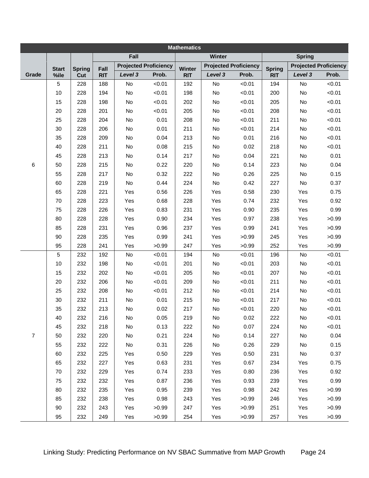| <b>Mathematics</b>  |              |               |            |         |                              |            |         |                              |               |               |                              |  |
|---------------------|--------------|---------------|------------|---------|------------------------------|------------|---------|------------------------------|---------------|---------------|------------------------------|--|
|                     |              |               |            | Fall    |                              |            | Winter  |                              |               | <b>Spring</b> |                              |  |
|                     | <b>Start</b> | <b>Spring</b> | Fall       |         | <b>Projected Proficiency</b> | Winter     |         | <b>Projected Proficiency</b> | <b>Spring</b> |               | <b>Projected Proficiency</b> |  |
| Grade               | %ile         | Cut           | <b>RIT</b> | Level 3 | Prob.                        | <b>RIT</b> | Level 3 | Prob.                        | <b>RIT</b>    | Level 3       | Prob.                        |  |
|                     | 5            | 228           | 188        | No      | < 0.01                       | 192        | No      | < 0.01                       | 194           | <b>No</b>     | < 0.01                       |  |
|                     | 10           | 228           | 194        | No      | < 0.01                       | 198        | No      | < 0.01                       | 200           | No            | < 0.01                       |  |
| 6<br>$\overline{7}$ | 15           | 228           | 198        | No      | < 0.01                       | 202        | No      | < 0.01                       | 205           | No            | < 0.01                       |  |
|                     | 20           | 228           | 201        | No      | < 0.01                       | 205        | No      | < 0.01                       | 208           | No            | < 0.01                       |  |
|                     | 25           | 228           | 204        | No      | 0.01                         | 208        | No      | < 0.01                       | 211           | No            | < 0.01                       |  |
|                     | 30           | 228           | 206        | No      | 0.01                         | 211        | No      | < 0.01                       | 214           | No            | < 0.01                       |  |
|                     | 35           | 228           | 209        | No      | 0.04                         | 213        | No      | 0.01                         | 216           | No            | < 0.01                       |  |
|                     | 40           | 228           | 211        | No      | 0.08                         | 215        | No      | 0.02                         | 218           | No            | < 0.01                       |  |
|                     | 45           | 228           | 213        | No      | 0.14                         | 217        | No      | 0.04                         | 221           | No            | 0.01                         |  |
|                     | 50           | 228           | 215        | No      | 0.22                         | 220        | No      | 0.14                         | 223           | No            | 0.04                         |  |
|                     | 55           | 228           | 217        | No      | 0.32                         | 222        | No      | 0.26                         | 225           | No            | 0.15                         |  |
|                     | 60           | 228           | 219        | No      | 0.44                         | 224        | No      | 0.42                         | 227           | No            | 0.37                         |  |
|                     | 65           | 228           | 221        | Yes     | 0.56                         | 226        | Yes     | 0.58                         | 230           | Yes           | 0.75                         |  |
|                     | 70           | 228           | 223        | Yes     | 0.68                         | 228        | Yes     | 0.74                         | 232           | Yes           | 0.92                         |  |
|                     | 75           | 228           | 226        | Yes     | 0.83                         | 231        | Yes     | 0.90                         | 235           | Yes           | 0.99                         |  |
|                     | 80           | 228           | 228        | Yes     | 0.90                         | 234        | Yes     | 0.97                         | 238           | Yes           | >0.99                        |  |
|                     | 85           | 228           | 231        | Yes     | 0.96                         | 237        | Yes     | 0.99                         | 241           | Yes           | >0.99                        |  |
|                     | 90           | 228           | 235        | Yes     | 0.99                         | 241        | Yes     | >0.99                        | 245           | Yes           | >0.99                        |  |
|                     | 95           | 228           | 241        | Yes     | >0.99                        | 247        | Yes     | >0.99                        | 252           | Yes           | >0.99                        |  |
|                     | 5            | 232           | 192        | No      | < 0.01                       | 194        | No      | < 0.01                       | 196           | No            | < 0.01                       |  |
|                     | 10           | 232           | 198        | No      | < 0.01                       | 201        | No      | < 0.01                       | 203           | No            | < 0.01                       |  |
|                     | 15           | 232           | 202        | No      | < 0.01                       | 205        | No      | < 0.01                       | 207           | No            | < 0.01                       |  |
|                     | 20           | 232           | 206        | No      | < 0.01                       | 209        | No      | < 0.01                       | 211           | No            | < 0.01                       |  |
|                     | 25           | 232           | 208        | No      | < 0.01                       | 212        | No      | < 0.01                       | 214           | No            | < 0.01                       |  |
|                     | 30           | 232           | 211        | No      | 0.01                         | 215        | No      | < 0.01                       | 217           | No            | < 0.01                       |  |
|                     | 35           | 232           | 213        | No      | 0.02                         | 217        | No      | < 0.01                       | 220           | No            | < 0.01                       |  |
|                     | 40           | 232           | 216        | No      | 0.05                         | 219        | No      | 0.02                         | 222           | No            | < 0.01                       |  |
|                     | 45           | 232           | 218        | No      | 0.13                         | 222        | No      | 0.07                         | 224           | No            | < 0.01                       |  |
|                     | 50           | 232           | 220        | No      | 0.21                         | 224        | No      | 0.14                         | 227           | No            | 0.04                         |  |
|                     | 55           | 232           | 222        | No      | 0.31                         | 226        | No      | 0.26                         | 229           | No            | 0.15                         |  |
|                     | 60           | 232           | 225        | Yes     | 0.50                         | 229        | Yes     | 0.50                         | 231           | No            | 0.37                         |  |
|                     | 65           | 232           | 227        | Yes     | 0.63                         | 231        | Yes     | 0.67                         | 234           | Yes           | 0.75                         |  |
|                     | 70           | 232           | 229        | Yes     | 0.74                         | 233        | Yes     | 0.80                         | 236           | Yes           | 0.92                         |  |
|                     | 75           | 232           | 232        | Yes     | 0.87                         | 236        | Yes     | 0.93                         | 239           | Yes           | 0.99                         |  |
|                     | 80           | 232           | 235        | Yes     | 0.95                         | 239        | Yes     | 0.98                         | 242           | Yes           | >0.99                        |  |
|                     | 85           | 232           | 238        | Yes     | 0.98                         | 243        | Yes     | >0.99                        | 246           | Yes           | >0.99                        |  |
|                     | 90           | 232           | 243        | Yes     | >0.99                        | 247        | Yes     | >0.99                        | 251           | Yes           | >0.99                        |  |
|                     | 95           | 232           | 249        | Yes     | >0.99                        | 254        | Yes     | >0.99                        | 257           | Yes           | >0.99                        |  |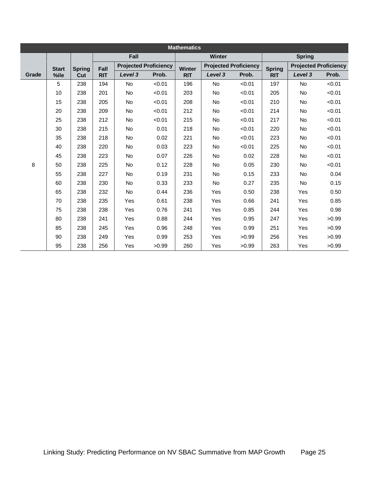|       | <b>Mathematics</b> |               |            |           |                              |               |           |                              |               |               |                              |  |  |  |
|-------|--------------------|---------------|------------|-----------|------------------------------|---------------|-----------|------------------------------|---------------|---------------|------------------------------|--|--|--|
|       |                    |               |            | Fall      |                              |               | Winter    |                              |               | <b>Spring</b> |                              |  |  |  |
|       | <b>Start</b>       | <b>Spring</b> | Fall       |           | <b>Projected Proficiency</b> | <b>Winter</b> |           | <b>Projected Proficiency</b> | <b>Spring</b> |               | <b>Projected Proficiency</b> |  |  |  |
| Grade | %ile               | Cut           | <b>RIT</b> | Level 3   | Prob.                        | <b>RIT</b>    | Level 3   | Prob.                        | <b>RIT</b>    | Level 3       | Prob.                        |  |  |  |
|       | 5                  | 238           | 194        | No        | < 0.01                       | 196           | No        | < 0.01                       | 197           | <b>No</b>     | < 0.01                       |  |  |  |
|       | 10                 | 238           | 201        | <b>No</b> | < 0.01                       | 203           | <b>No</b> | < 0.01                       | 205           | <b>No</b>     | < 0.01                       |  |  |  |
|       | 15                 | 238           | 205        | <b>No</b> | < 0.01                       | 208           | <b>No</b> | < 0.01                       | 210           | <b>No</b>     | < 0.01                       |  |  |  |
|       | 20                 | 238           | 209        | <b>No</b> | < 0.01                       | 212           | <b>No</b> | < 0.01                       | 214           | <b>No</b>     | < 0.01                       |  |  |  |
|       | 25                 | 238           | 212        | <b>No</b> | < 0.01                       | 215           | <b>No</b> | < 0.01                       | 217           | <b>No</b>     | < 0.01                       |  |  |  |
|       | 30                 | 238           | 215        | <b>No</b> | 0.01                         | 218           | <b>No</b> | < 0.01                       | 220           | <b>No</b>     | < 0.01                       |  |  |  |
|       | 35                 | 238           | 218        | <b>No</b> | 0.02                         | 221           | <b>No</b> | < 0.01                       | 223           | <b>No</b>     | < 0.01                       |  |  |  |
|       | 40                 | 238           | 220        | No        | 0.03                         | 223           | <b>No</b> | < 0.01                       | 225           | <b>No</b>     | < 0.01                       |  |  |  |
|       | 45                 | 238           | 223        | <b>No</b> | 0.07                         | 226           | No        | 0.02                         | 228           | <b>No</b>     | < 0.01                       |  |  |  |
| 8     | 50                 | 238           | 225        | <b>No</b> | 0.12                         | 228           | <b>No</b> | 0.05                         | 230           | <b>No</b>     | < 0.01                       |  |  |  |
|       | 55                 | 238           | 227        | <b>No</b> | 0.19                         | 231           | <b>No</b> | 0.15                         | 233           | <b>No</b>     | 0.04                         |  |  |  |
|       | 60                 | 238           | 230        | No        | 0.33                         | 233           | <b>No</b> | 0.27                         | 235           | <b>No</b>     | 0.15                         |  |  |  |
|       | 65                 | 238           | 232        | <b>No</b> | 0.44                         | 236           | Yes       | 0.50                         | 238           | Yes           | 0.50                         |  |  |  |
|       | 70                 | 238           | 235        | Yes       | 0.61                         | 238           | Yes       | 0.66                         | 241           | <b>Yes</b>    | 0.85                         |  |  |  |
|       | 75                 | 238           | 238        | Yes       | 0.76                         | 241           | Yes       | 0.85                         | 244           | <b>Yes</b>    | 0.98                         |  |  |  |
|       | 80                 | 238           | 241        | Yes       | 0.88                         | 244           | Yes       | 0.95                         | 247           | Yes           | >0.99                        |  |  |  |
|       | 85                 | 238           | 245        | Yes       | 0.96                         | 248           | Yes       | 0.99                         | 251           | Yes           | >0.99                        |  |  |  |
|       | 90                 | 238           | 249        | Yes       | 0.99                         | 253           | Yes       | >0.99                        | 256           | Yes           | >0.99                        |  |  |  |
|       | 95                 | 238           | 256        | Yes       | >0.99                        | 260           | Yes       | >0.99                        | 263           | <b>Yes</b>    | >0.99                        |  |  |  |